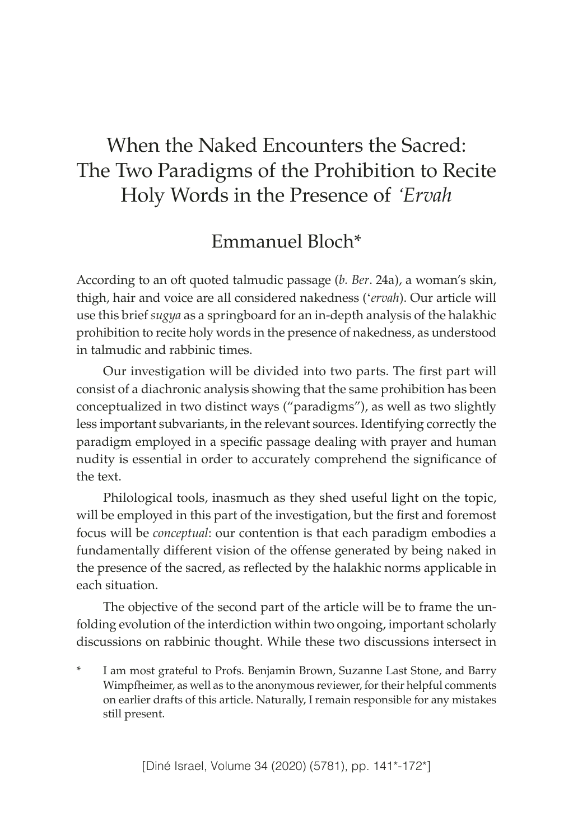# When the Naked Encounters the Sacred: The Two Paradigms of the Prohibition to Recite Holy Words in the Presence of *'Ervah*

## Emmanuel Bloch\*

According to an oft quoted talmudic passage (*b. Ber*. 24a), a woman's skin, thigh, hair and voice are all considered nakedness ('*ervah*). Our article will use this brief *sugya* as a springboard for an in-depth analysis of the halakhic prohibition to recite holy words in the presence of nakedness, as understood in talmudic and rabbinic times.

Our investigation will be divided into two parts. The first part will consist of a diachronic analysis showing that the same prohibition has been conceptualized in two distinct ways ("paradigms"), as well as two slightly less important subvariants, in the relevant sources. Identifying correctly the paradigm employed in a specific passage dealing with prayer and human nudity is essential in order to accurately comprehend the significance of the text.

Philological tools, inasmuch as they shed useful light on the topic, will be employed in this part of the investigation, but the first and foremost focus will be *conceptual*: our contention is that each paradigm embodies a fundamentally different vision of the offense generated by being naked in the presence of the sacred, as reflected by the halakhic norms applicable in each situation.

The objective of the second part of the article will be to frame the unfolding evolution of the interdiction within two ongoing, important scholarly discussions on rabbinic thought. While these two discussions intersect in

I am most grateful to Profs. Benjamin Brown, Suzanne Last Stone, and Barry Wimpfheimer, as well as to the anonymous reviewer, for their helpful comments on earlier drafts of this article. Naturally, I remain responsible for any mistakes still present.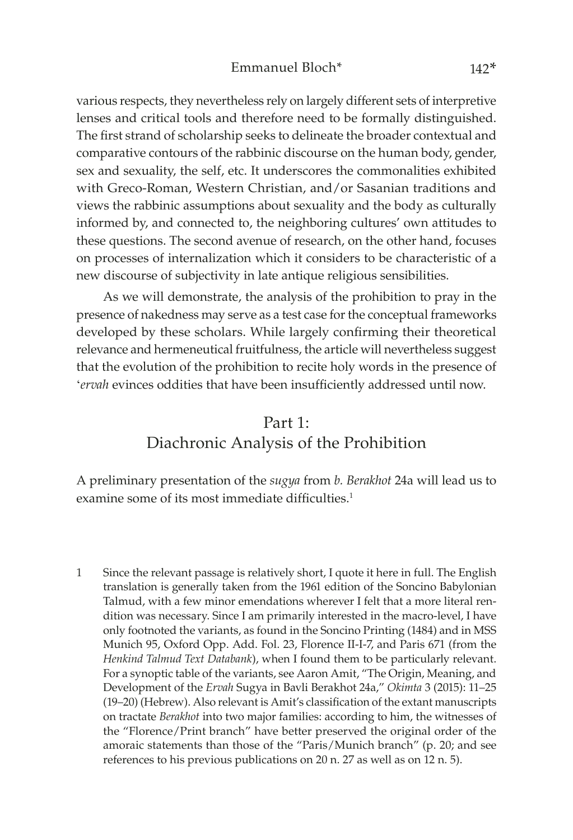various respects, they nevertheless rely on largely different sets of interpretive lenses and critical tools and therefore need to be formally distinguished. The first strand of scholarship seeks to delineate the broader contextual and comparative contours of the rabbinic discourse on the human body, gender, sex and sexuality, the self, etc. It underscores the commonalities exhibited with Greco-Roman, Western Christian, and/or Sasanian traditions and views the rabbinic assumptions about sexuality and the body as culturally informed by, and connected to, the neighboring cultures' own attitudes to these questions. The second avenue of research, on the other hand, focuses on processes of internalization which it considers to be characteristic of a new discourse of subjectivity in late antique religious sensibilities.

As we will demonstrate, the analysis of the prohibition to pray in the presence of nakedness may serve as a test case for the conceptual frameworks developed by these scholars. While largely confirming their theoretical relevance and hermeneutical fruitfulness, the article will nevertheless suggest that the evolution of the prohibition to recite holy words in the presence of '*ervah* evinces oddities that have been insufficiently addressed until now.

## Part 1: Diachronic Analysis of the Prohibition

A preliminary presentation of the *sugya* from *b. Berakhot* 24a will lead us to examine some of its most immediate difficulties.<sup>1</sup>

1 Since the relevant passage is relatively short, I quote it here in full. The English translation is generally taken from the 1961 edition of the Soncino Babylonian Talmud, with a few minor emendations wherever I felt that a more literal rendition was necessary. Since I am primarily interested in the macro-level, I have only footnoted the variants, as found in the Soncino Printing (1484) and in MSS Munich 95, Oxford Opp. Add. Fol. 23, Florence II-I-7, and Paris 671 (from the *Henkind Talmud Text Databank*), when I found them to be particularly relevant. For a synoptic table of the variants, see Aaron Amit, "The Origin, Meaning, and Development of the *Ervah* Sugya in Bavli Berakhot 24a," *Okimta* 3 (2015): 11–25 (19–20) (Hebrew). Also relevant is Amit's classification of the extant manuscripts on tractate *Berakhot* into two major families: according to him, the witnesses of the "Florence/Print branch" have better preserved the original order of the amoraic statements than those of the "Paris/Munich branch" (p. 20; and see references to his previous publications on 20 n. 27 as well as on 12 n. 5).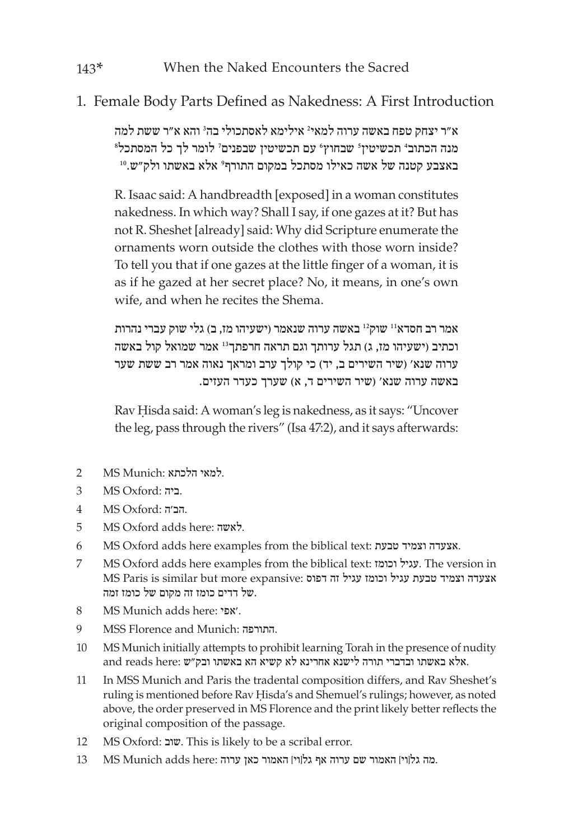## 1. Female Body Parts Defined as Nakedness: A First Introduction

א״ר יצחק טפח באשה ערוה למאי<sup>2</sup> אילימא לאסתכולי בה<sup>3</sup> והא א״ר ששת למה<br>מוה הרחור<del>'</del> חרשיטזיז' שרחוץ' טם חרשיטזי שרפוים' לומר לד רל המסתרל<sup>8</sup> <sup>7</sup> לומר לך כל המסתכל <sup>6</sup> עם תכשיטין שבפנים <sup>5</sup> שבחוץ <sup>4</sup> תכשיטין מנה הכתוב' תכשיטין' שבחוץ' עם תכשיטין שבפנים' לומר לך כל המסתכל<br>באצבע קטנה של אשה כאילו מסתכל במקום התורף' אלא באשתו ולק״ש.0

R. Isaac said: A handbreadth [exposed] in a woman constitutes nakedness. In which way? Shall I say, if one gazes at it? But has not R. Sheshet [already] said: Why did Scripture enumerate the ornaments worn outside the clothes with those worn inside? To tell you that if one gazes at the little finger of a woman, it is as if he gazed at her secret place? No, it means, in one's own wife, and when he recites the Shema.

אמר רב חסדא<sup>11</sup> שוק<sup>12</sup> באשה ערוה שנאמר (ישעיהו מז, ב) גלי שוק עברי נהרות וכתיב )ישעיהו מז, ג( תגל ערותך וגם תראה חרפתך<sup>13</sup> אמר שמואל קול באשה ערוה שנא' (שיר השירים ב, יד) כי קולך ערב ומראך נאוה אמר רב ששת שער באשה ערוה שנא' )שיר השירים ד, א( שערך כעדר העזים.

Rav Ḥisda said: A woman's leg is nakedness, as it says: "Uncover the leg, pass through the rivers" (Isa 47:2), and it says afterwards:

- .<br>למאי הלכתא :MS Munich
- 3 MS Oxford: ביה.
- .הב'ה :Oxford MS 4
- 5 MS Oxford adds here: לאשה.
- 6 MS Oxford adds here examples from the biblical text: טבעת וצמיד אצעדה.
- 7 MS Oxford adds here examples from the biblical text: וכומז עגיל. The version in אצעדה וצמיד טבעת עגיל וכומז עגיל זה דפוס :expansive more but similar is Paris MS .של דדים כומז זה מקום של כומז זמה
- 8 MS Munich adds here: אפי'.
- 9 MSS Florence and Munich: התורפה.
- 10 MS Munich initially attempts to prohibit learning Torah in the presence of nudity and reads here: אלא באשתו ובדברי תורה לישנא אחרינא לא קשיא הא באשתו ובדברי ה
- 11 In MSS Munich and Paris the tradental composition differs, and Rav Sheshet's ruling is mentioned before Rav Ḥisda's and Shemuel's rulings; however, as noted above, the order preserved in MS Florence and the print likely better reflects the original composition of the passage.
- 12 MS Oxford: שוב. This is likely to be a scribal error.
- .מה גל[וי] האמור שם ערוה אף גל[וי] האמור כאן ערוה :here MS Munich adds here 13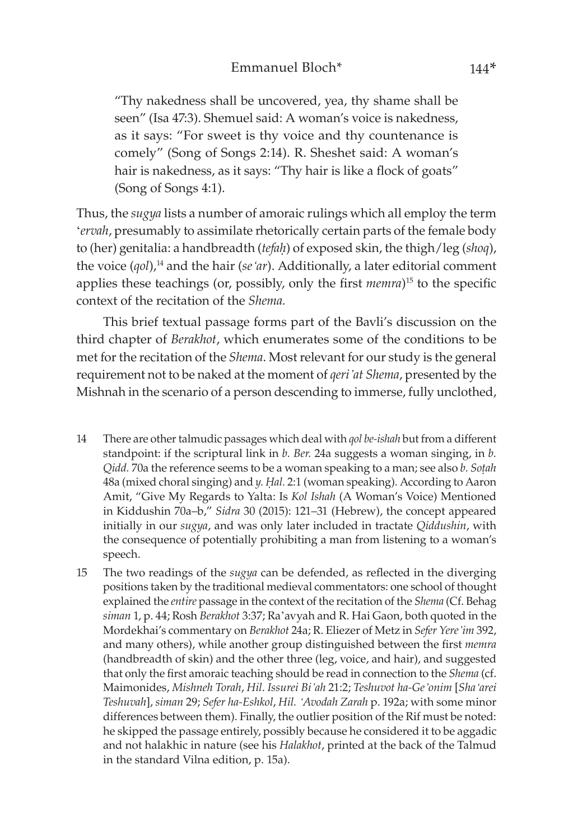"Thy nakedness shall be uncovered, yea, thy shame shall be seen" (Isa 47:3). Shemuel said: A woman's voice is nakedness, as it says: "For sweet is thy voice and thy countenance is comely" (Song of Songs 2:14). R. Sheshet said: A woman's hair is nakedness, as it says: "Thy hair is like a flock of goats" (Song of Songs 4:1).

Thus, the *sugya* lists a number of amoraic rulings which all employ the term '*ervah*, presumably to assimilate rhetorically certain parts of the female body to (her) genitalia: a handbreadth (*tefaḥ*) of exposed skin, the thigh/leg (*shoq*), the voice (*qol*),14 and the hair (*se'ar*). Additionally, a later editorial comment applies these teachings (or, possibly, only the first *memra*)15 to the specific context of the recitation of the *Shema.*

This brief textual passage forms part of the Bavli's discussion on the third chapter of *Berakhot*, which enumerates some of the conditions to be met for the recitation of the *Shema*. Most relevant for our study is the general requirement not to be naked at the moment of *qeri'at Shema*, presented by the Mishnah in the scenario of a person descending to immerse, fully unclothed,

- 14 There are other talmudic passages which deal with *qol be-ishah* but from a different standpoint: if the scriptural link in *b. Ber.* 24a suggests a woman singing, in *b. Qidd.* 70a the reference seems to be a woman speaking to a man; see also *b. Soṭah* 48a (mixed choral singing) and *y. Ḥal.* 2:1 (woman speaking). According to Aaron Amit, "Give My Regards to Yalta: Is *Kol Ishah* (A Woman's Voice) Mentioned in Kiddushin 70a–b," *Sidra* 30 (2015): 121–31 (Hebrew), the concept appeared initially in our *sugya*, and was only later included in tractate *Qiddushin*, with the consequence of potentially prohibiting a man from listening to a woman's speech.
- 15 The two readings of the *sugya* can be defended, as reflected in the diverging positions taken by the traditional medieval commentators: one school of thought explained the *entire* passage in the context of the recitation of the *Shema* (Cf. Behag *siman* 1, p. 44; Rosh *Berakhot* 3:37; Ra'avyah and R. Hai Gaon, both quoted in the Mordekhai's commentary on *Berakhot* 24a; R. Eliezer of Metz in *Sefer Yere'im* 392, and many others), while another group distinguished between the first *memra* (handbreadth of skin) and the other three (leg, voice, and hair), and suggested that only the first amoraic teaching should be read in connection to the *Shema* (cf. Maimonides, *Mishneh Torah*, *Hil*. *Issurei Bi'ah* 21:2; *Teshuvot ha-Ge'onim* [*Sha'arei Teshuvah*], *siman* 29; *Sefer ha-Eshkol*, *Hil. 'Avodah Zarah* p. 192a; with some minor differences between them). Finally, the outlier position of the Rif must be noted: he skipped the passage entirely, possibly because he considered it to be aggadic and not halakhic in nature (see his *Halakhot*, printed at the back of the Talmud in the standard Vilna edition, p. 15a).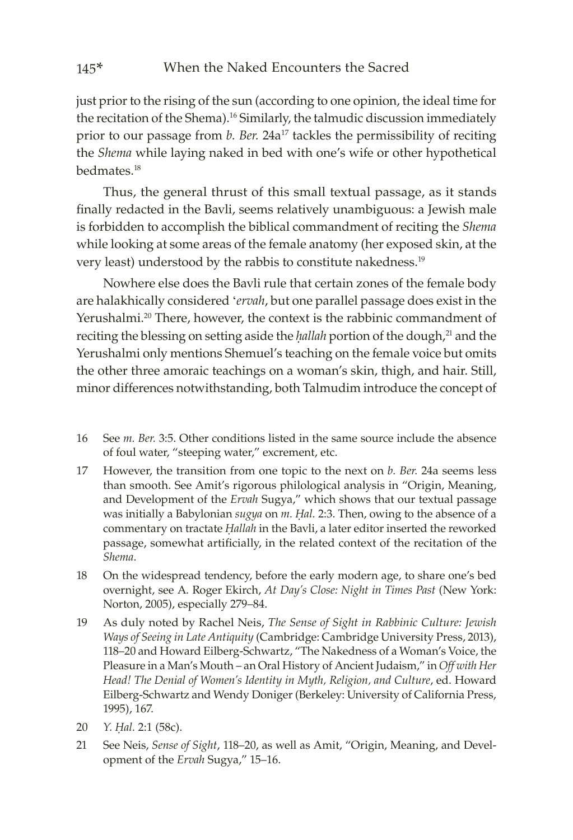just prior to the rising of the sun (according to one opinion, the ideal time for the recitation of the Shema).<sup>16</sup> Similarly, the talmudic discussion immediately prior to our passage from *b. Ber.* 24a<sup>17</sup> tackles the permissibility of reciting the *Shema* while laying naked in bed with one's wife or other hypothetical bedmates.18

Thus, the general thrust of this small textual passage, as it stands finally redacted in the Bavli, seems relatively unambiguous: a Jewish male is forbidden to accomplish the biblical commandment of reciting the *Shema* while looking at some areas of the female anatomy (her exposed skin, at the very least) understood by the rabbis to constitute nakedness.19

Nowhere else does the Bavli rule that certain zones of the female body are halakhically considered '*ervah*, but one parallel passage does exist in the Yerushalmi.<sup>20</sup> There, however, the context is the rabbinic commandment of reciting the blessing on setting aside the *hallah* portion of the dough,<sup>21</sup> and the Yerushalmi only mentions Shemuel's teaching on the female voice but omits the other three amoraic teachings on a woman's skin, thigh, and hair. Still, minor differences notwithstanding, both Talmudim introduce the concept of

- 16 See *m. Ber.* 3:5. Other conditions listed in the same source include the absence of foul water, "steeping water," excrement, etc.
- 17 However, the transition from one topic to the next on *b. Ber.* 24a seems less than smooth. See Amit's rigorous philological analysis in "Origin, Meaning, and Development of the *Ervah* Sugya," which shows that our textual passage was initially a Babylonian *sugya* on *m. Ḥal.* 2:3. Then, owing to the absence of a commentary on tractate *Ḥallah* in the Bavli, a later editor inserted the reworked passage, somewhat artificially, in the related context of the recitation of the *Shema*.
- 18 On the widespread tendency, before the early modern age, to share one's bed overnight, see A. Roger Ekirch, *At Day's Close: Night in Times Past* (New York: Norton, 2005), especially 279–84.
- 19 As duly noted by Rachel Neis, *The Sense of Sight in Rabbinic Culture: Jewish Ways of Seeing in Late Antiquity* (Cambridge: Cambridge University Press, 2013), 118–20 and Howard Eilberg-Schwartz, "The Nakedness of a Woman's Voice, the Pleasure in a Man's Mouth – an Oral History of Ancient Judaism," in *Off with Her Head! The Denial of Women's Identity in Myth, Religion, and Culture*, ed. Howard Eilberg-Schwartz and Wendy Doniger (Berkeley: University of California Press, 1995), 167.
- 20 *Y. Ḥal.* 2:1 (58c).
- 21 See Neis, *Sense of Sight*, 118–20, as well as Amit, "Origin, Meaning, and Development of the *Ervah* Sugya," 15–16.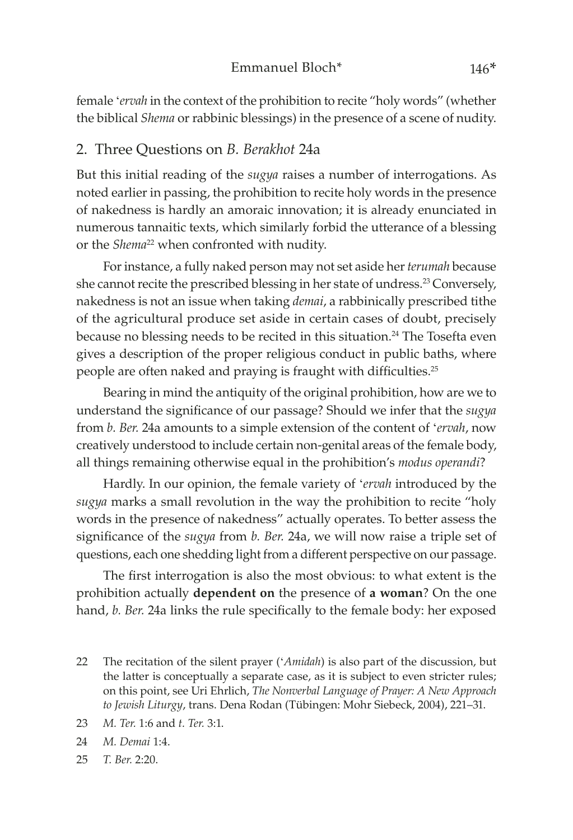female '*ervah* in the context of the prohibition to recite "holy words" (whether the biblical *Shema* or rabbinic blessings) in the presence of a scene of nudity.

#### 2. Three Questions on *B. Berakhot* 24a

But this initial reading of the *sugya* raises a number of interrogations. As noted earlier in passing, the prohibition to recite holy words in the presence of nakedness is hardly an amoraic innovation; it is already enunciated in numerous tannaitic texts, which similarly forbid the utterance of a blessing or the *Shema*<sup>22</sup> when confronted with nudity.

For instance, a fully naked person may not set aside her *terumah* because she cannot recite the prescribed blessing in her state of undress.23 Conversely, nakedness is not an issue when taking *demai*, a rabbinically prescribed tithe of the agricultural produce set aside in certain cases of doubt, precisely because no blessing needs to be recited in this situation.<sup>24</sup> The Tosefta even gives a description of the proper religious conduct in public baths, where people are often naked and praying is fraught with difficulties.<sup>25</sup>

Bearing in mind the antiquity of the original prohibition, how are we to understand the significance of our passage? Should we infer that the *sugya* from *b. Ber.* 24a amounts to a simple extension of the content of '*ervah*, now creatively understood to include certain non-genital areas of the female body, all things remaining otherwise equal in the prohibition's *modus operandi*?

Hardly. In our opinion, the female variety of '*ervah* introduced by the *sugya* marks a small revolution in the way the prohibition to recite "holy words in the presence of nakedness" actually operates. To better assess the significance of the *sugya* from *b. Ber.* 24a, we will now raise a triple set of questions, each one shedding light from a different perspective on our passage.

The first interrogation is also the most obvious: to what extent is the prohibition actually **dependent on** the presence of **a woman**? On the one hand, *b. Ber.* 24a links the rule specifically to the female body: her exposed

- 22 The recitation of the silent prayer ('*Amidah*) is also part of the discussion, but the latter is conceptually a separate case, as it is subject to even stricter rules; on this point, see Uri Ehrlich, *The Nonverbal Language of Prayer: A New Approach to Jewish Liturgy*, trans. Dena Rodan (Tübingen: Mohr Siebeck, 2004), 221–31.
- 23 *M. Ter.* 1:6 and *t. Ter.* 3:1.
- 24 *M. Demai* 1:4.
- 25 *T. Ber.* 2:20.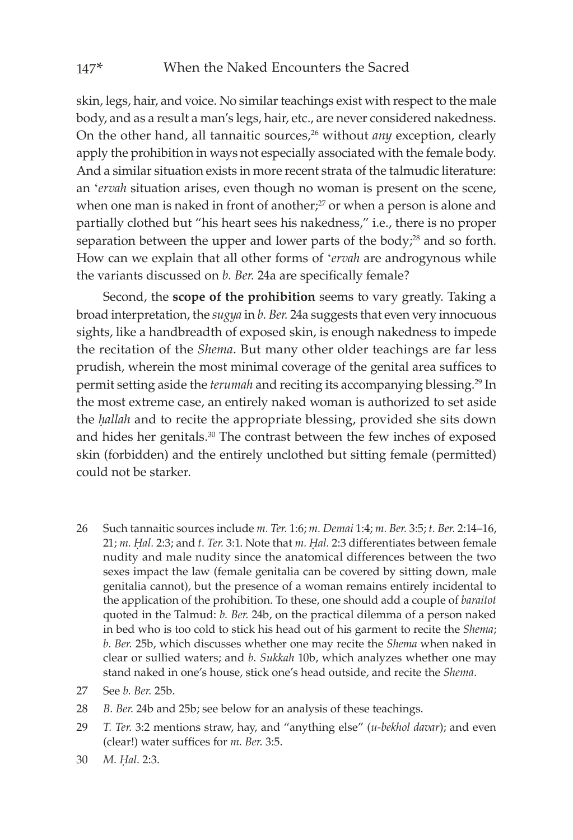skin, legs, hair, and voice. No similar teachings exist with respect to the male body, and as a result a man's legs, hair, etc., are never considered nakedness. On the other hand, all tannaitic sources,<sup>26</sup> without *any* exception, clearly apply the prohibition in ways not especially associated with the female body. And a similar situation exists in more recent strata of the talmudic literature: an '*ervah* situation arises, even though no woman is present on the scene, when one man is naked in front of another; $27$  or when a person is alone and partially clothed but "his heart sees his nakedness," i.e., there is no proper separation between the upper and lower parts of the body; $^{28}$  and so forth. How can we explain that all other forms of '*ervah* are androgynous while the variants discussed on *b. Ber.* 24a are specifically female?

Second, the **scope of the prohibition** seems to vary greatly. Taking a broad interpretation, the *sugya* in *b. Ber.* 24a suggests that even very innocuous sights, like a handbreadth of exposed skin, is enough nakedness to impede the recitation of the *Shema*. But many other older teachings are far less prudish, wherein the most minimal coverage of the genital area suffices to permit setting aside the *terumah* and reciting its accompanying blessing.29 In the most extreme case, an entirely naked woman is authorized to set aside the *ḥallah* and to recite the appropriate blessing, provided she sits down and hides her genitals.<sup>30</sup> The contrast between the few inches of exposed skin (forbidden) and the entirely unclothed but sitting female (permitted) could not be starker.

- 26 Such tannaitic sources include *m. Ter.* 1:6; *m. Demai* 1:4; *m. Ber.* 3:5; *t. Ber.* 2:14–16, 21; *m. Ḥal.* 2:3; and *t. Ter.* 3:1. Note that *m. Ḥal.* 2:3 differentiates between female nudity and male nudity since the anatomical differences between the two sexes impact the law (female genitalia can be covered by sitting down, male genitalia cannot), but the presence of a woman remains entirely incidental to the application of the prohibition. To these, one should add a couple of *baraitot* quoted in the Talmud: *b. Ber.* 24b, on the practical dilemma of a person naked in bed who is too cold to stick his head out of his garment to recite the *Shema*; *b. Ber.* 25b, which discusses whether one may recite the *Shema* when naked in clear or sullied waters; and *b. Sukkah* 10b, which analyzes whether one may stand naked in one's house, stick one's head outside, and recite the *Shema*.
- 27 See *b. Ber.* 25b.
- 28 *B. Ber.* 24b and 25b; see below for an analysis of these teachings.
- 29 *T. Ter.* 3:2 mentions straw, hay, and "anything else" (*u-bekhol davar*); and even (clear!) water suffices for *m. Ber.* 3:5.
- 30 *M. Ḥal.* 2:3.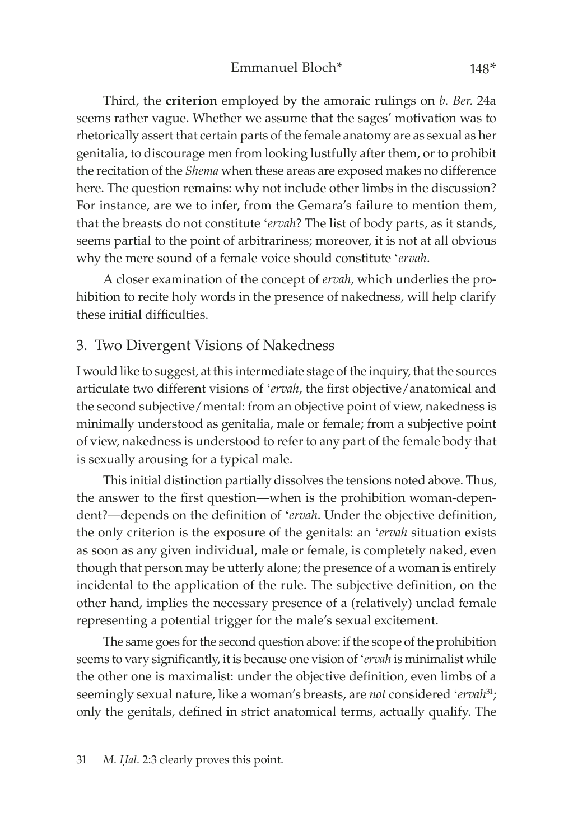Third, the **criterion** employed by the amoraic rulings on *b. Ber.* 24a seems rather vague. Whether we assume that the sages' motivation was to rhetorically assert that certain parts of the female anatomy are as sexual as her genitalia, to discourage men from looking lustfully after them, or to prohibit the recitation of the *Shema* when these areas are exposed makes no difference here. The question remains: why not include other limbs in the discussion? For instance, are we to infer, from the Gemara's failure to mention them, that the breasts do not constitute '*ervah*? The list of body parts, as it stands, seems partial to the point of arbitrariness; moreover, it is not at all obvious why the mere sound of a female voice should constitute '*ervah*.

A closer examination of the concept of *ervah,* which underlies the prohibition to recite holy words in the presence of nakedness, will help clarify these initial difficulties.

#### 3. Two Divergent Visions of Nakedness

I would like to suggest, at this intermediate stage of the inquiry, that the sources articulate two different visions of '*ervah*, the first objective/anatomical and the second subjective/mental: from an objective point of view, nakedness is minimally understood as genitalia, male or female; from a subjective point of view, nakedness is understood to refer to any part of the female body that is sexually arousing for a typical male.

This initial distinction partially dissolves the tensions noted above. Thus, the answer to the first question—when is the prohibition woman-dependent?—depends on the definition of '*ervah*. Under the objective definition, the only criterion is the exposure of the genitals: an '*ervah* situation exists as soon as any given individual, male or female, is completely naked, even though that person may be utterly alone; the presence of a woman is entirely incidental to the application of the rule. The subjective definition, on the other hand, implies the necessary presence of a (relatively) unclad female representing a potential trigger for the male's sexual excitement.

The same goes for the second question above: if the scope of the prohibition seems to vary significantly, it is because one vision of '*ervah* is minimalist while the other one is maximalist: under the objective definition, even limbs of a seemingly sexual nature, like a woman's breasts, are *not* considered 'ervah<sup>31</sup>; only the genitals, defined in strict anatomical terms, actually qualify. The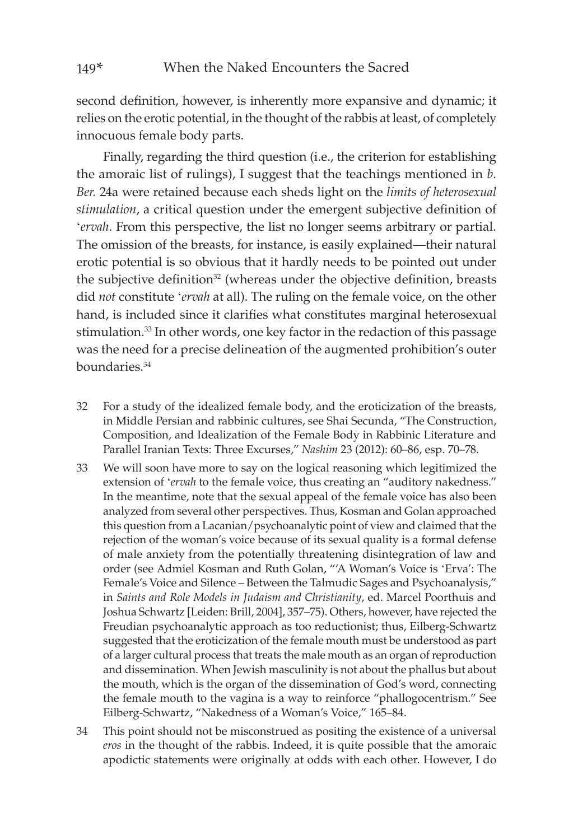second definition, however, is inherently more expansive and dynamic; it relies on the erotic potential, in the thought of the rabbis at least, of completely innocuous female body parts.

Finally, regarding the third question (i.e., the criterion for establishing the amoraic list of rulings), I suggest that the teachings mentioned in *b. Ber.* 24a were retained because each sheds light on the *limits of heterosexual stimulation*, a critical question under the emergent subjective definition of '*ervah*. From this perspective, the list no longer seems arbitrary or partial. The omission of the breasts, for instance, is easily explained—their natural erotic potential is so obvious that it hardly needs to be pointed out under the subjective definition<sup>32</sup> (whereas under the objective definition, breasts did *not* constitute '*ervah* at all). The ruling on the female voice, on the other hand, is included since it clarifies what constitutes marginal heterosexual stimulation.33 In other words, one key factor in the redaction of this passage was the need for a precise delineation of the augmented prohibition's outer boundaries.34

- 32 For a study of the idealized female body, and the eroticization of the breasts, in Middle Persian and rabbinic cultures, see Shai Secunda, "The Construction, Composition, and Idealization of the Female Body in Rabbinic Literature and Parallel Iranian Texts: Three Excurses," *Nashim* 23 (2012): 60–86, esp. 70–78.
- 33 We will soon have more to say on the logical reasoning which legitimized the extension of '*ervah* to the female voice, thus creating an "auditory nakedness." In the meantime, note that the sexual appeal of the female voice has also been analyzed from several other perspectives. Thus, Kosman and Golan approached this question from a Lacanian/psychoanalytic point of view and claimed that the rejection of the woman's voice because of its sexual quality is a formal defense of male anxiety from the potentially threatening disintegration of law and order (see Admiel Kosman and Ruth Golan, "'A Woman's Voice is 'Erva': The Female's Voice and Silence – Between the Talmudic Sages and Psychoanalysis," in *Saints and Role Models in Judaism and Christianity*, ed. Marcel Poorthuis and Joshua Schwartz [Leiden: Brill, 2004], 357–75). Others, however, have rejected the Freudian psychoanalytic approach as too reductionist; thus, Eilberg-Schwartz suggested that the eroticization of the female mouth must be understood as part of a larger cultural process that treats the male mouth as an organ of reproduction and dissemination. When Jewish masculinity is not about the phallus but about the mouth, which is the organ of the dissemination of God's word, connecting the female mouth to the vagina is a way to reinforce "phallogocentrism." See Eilberg-Schwartz, "Nakedness of a Woman's Voice," 165–84.
- 34 This point should not be misconstrued as positing the existence of a universal *eros* in the thought of the rabbis. Indeed, it is quite possible that the amoraic apodictic statements were originally at odds with each other. However, I do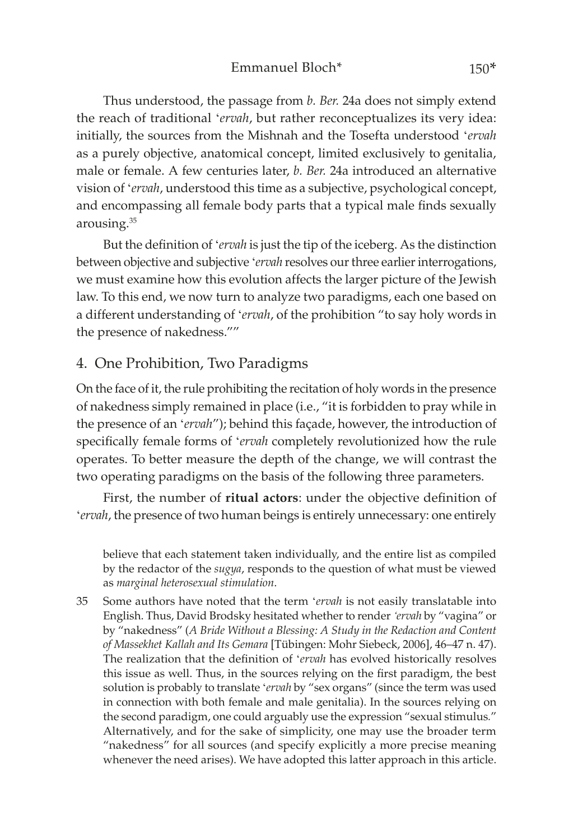Thus understood, the passage from *b. Ber.* 24a does not simply extend the reach of traditional '*ervah*, but rather reconceptualizes its very idea: initially, the sources from the Mishnah and the Tosefta understood '*ervah* as a purely objective, anatomical concept, limited exclusively to genitalia, male or female. A few centuries later, *b. Ber.* 24a introduced an alternative vision of '*ervah*, understood this time as a subjective, psychological concept, and encompassing all female body parts that a typical male finds sexually arousing.35

But the definition of '*ervah* is just the tip of the iceberg. As the distinction between objective and subjective '*ervah* resolves our three earlier interrogations, we must examine how this evolution affects the larger picture of the Jewish law. To this end, we now turn to analyze two paradigms, each one based on a different understanding of '*ervah*, of the prohibition "to say holy words in the presence of nakedness.""

#### 4. One Prohibition, Two Paradigms

On the face of it, the rule prohibiting the recitation of holy words in the presence of nakedness simply remained in place (i.e., "it is forbidden to pray while in the presence of an '*ervah*"); behind this façade, however, the introduction of specifically female forms of '*ervah* completely revolutionized how the rule operates. To better measure the depth of the change, we will contrast the two operating paradigms on the basis of the following three parameters.

First, the number of **ritual actors**: under the objective definition of '*ervah*, the presence of two human beings is entirely unnecessary: one entirely

believe that each statement taken individually, and the entire list as compiled by the redactor of the *sugya*, responds to the question of what must be viewed as *marginal heterosexual stimulation*.

35 Some authors have noted that the term '*ervah* is not easily translatable into English. Thus, David Brodsky hesitated whether to render *'ervah* by "vagina" or by "nakedness" (*A Bride Without a Blessing: A Study in the Redaction and Content of Massekhet Kallah and Its Gemara* [Tübingen: Mohr Siebeck, 2006], 46–47 n. 47). The realization that the definition of '*ervah* has evolved historically resolves this issue as well. Thus, in the sources relying on the first paradigm, the best solution is probably to translate '*ervah* by "sex organs" (since the term was used in connection with both female and male genitalia). In the sources relying on the second paradigm, one could arguably use the expression "sexual stimulus*.*" Alternatively, and for the sake of simplicity, one may use the broader term "nakedness" for all sources (and specify explicitly a more precise meaning whenever the need arises). We have adopted this latter approach in this article.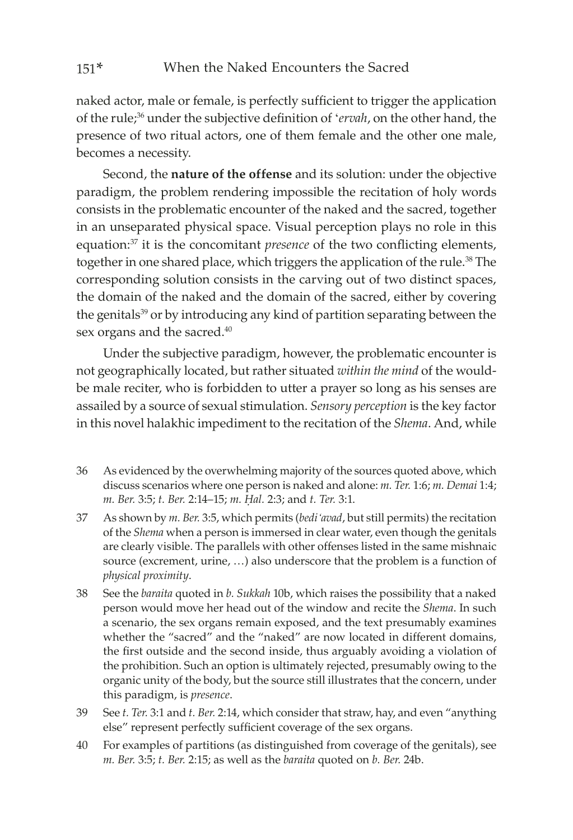naked actor, male or female, is perfectly sufficient to trigger the application of the rule;36 under the subjective definition of '*ervah*, on the other hand, the presence of two ritual actors, one of them female and the other one male, becomes a necessity.

Second, the **nature of the offense** and its solution: under the objective paradigm, the problem rendering impossible the recitation of holy words consists in the problematic encounter of the naked and the sacred, together in an unseparated physical space. Visual perception plays no role in this equation:37 it is the concomitant *presence* of the two conflicting elements, together in one shared place, which triggers the application of the rule.<sup>38</sup> The corresponding solution consists in the carving out of two distinct spaces, the domain of the naked and the domain of the sacred, either by covering the genitals<sup>39</sup> or by introducing any kind of partition separating between the sex organs and the sacred.<sup>40</sup>

Under the subjective paradigm, however, the problematic encounter is not geographically located, but rather situated *within the mind* of the wouldbe male reciter, who is forbidden to utter a prayer so long as his senses are assailed by a source of sexual stimulation. *Sensory perception* is the key factor in this novel halakhic impediment to the recitation of the *Shema*. And, while

- 36 As evidenced by the overwhelming majority of the sources quoted above, which discuss scenarios where one person is naked and alone: *m. Ter.* 1:6; *m. Demai* 1:4; *m. Ber.* 3:5; *t. Ber.* 2:14–15; *m. Ḥal.* 2:3; and *t. Ter.* 3:1.
- 37 As shown by *m. Ber.* 3:5, which permits (*bedi'avad*, but still permits) the recitation of the *Shema* when a person is immersed in clear water, even though the genitals are clearly visible. The parallels with other offenses listed in the same mishnaic source (excrement, urine, …) also underscore that the problem is a function of *physical proximity*.
- 38 See the *baraita* quoted in *b. Sukkah* 10b, which raises the possibility that a naked person would move her head out of the window and recite the *Shema*. In such a scenario, the sex organs remain exposed, and the text presumably examines whether the "sacred" and the "naked" are now located in different domains, the first outside and the second inside, thus arguably avoiding a violation of the prohibition. Such an option is ultimately rejected, presumably owing to the organic unity of the body, but the source still illustrates that the concern, under this paradigm, is *presence*.
- 39 See *t. Ter.* 3:1 and *t. Ber.* 2:14, which consider that straw, hay, and even "anything else" represent perfectly sufficient coverage of the sex organs.
- 40 For examples of partitions (as distinguished from coverage of the genitals), see *m. Ber.* 3:5; *t. Ber.* 2:15; as well as the *baraita* quoted on *b. Ber.* 24b.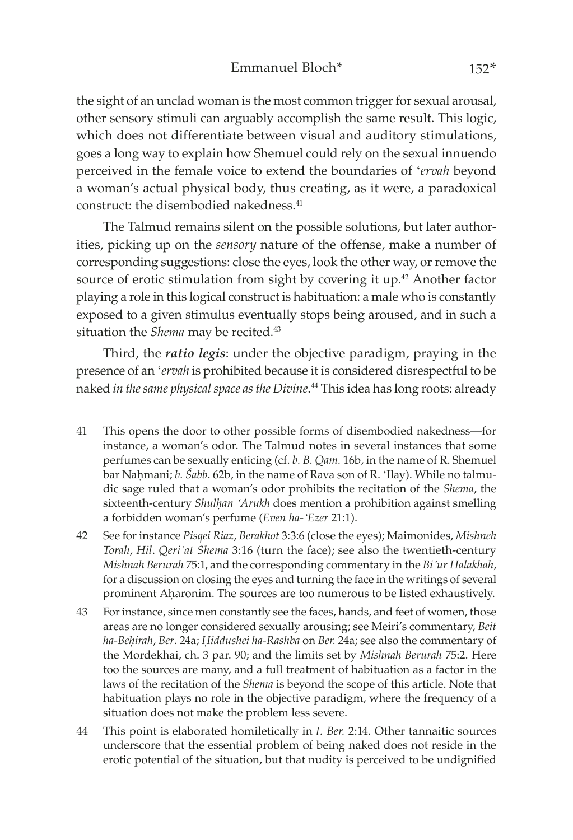the sight of an unclad woman is the most common trigger for sexual arousal, other sensory stimuli can arguably accomplish the same result. This logic, which does not differentiate between visual and auditory stimulations, goes a long way to explain how Shemuel could rely on the sexual innuendo perceived in the female voice to extend the boundaries of '*ervah* beyond a woman's actual physical body, thus creating, as it were, a paradoxical construct: the disembodied nakedness.<sup>41</sup>

The Talmud remains silent on the possible solutions, but later authorities, picking up on the *sensory* nature of the offense, make a number of corresponding suggestions: close the eyes, look the other way, or remove the source of erotic stimulation from sight by covering it up.<sup>42</sup> Another factor playing a role in this logical construct is habituation: a male who is constantly exposed to a given stimulus eventually stops being aroused, and in such a situation the *Shema* may be recited.<sup>43</sup>

Third, the *ratio legis*: under the objective paradigm, praying in the presence of an '*ervah* is prohibited because it is considered disrespectful to be naked *in the same physical space as the Divine*. 44 This idea has long roots: already

- 41 This opens the door to other possible forms of disembodied nakedness—for instance, a woman's odor. The Talmud notes in several instances that some perfumes can be sexually enticing (cf. *b. B. Qam.* 16b, in the name of R. Shemuel bar Naḥmani; *b. Šabb*. 62b, in the name of Rava son of R. 'Ilay). While no talmudic sage ruled that a woman's odor prohibits the recitation of the *Shema*, the sixteenth-century *Shulḥan 'Arukh* does mention a prohibition against smelling a forbidden woman's perfume (*Even ha-'Ezer* 21:1).
- 42 See for instance *Pisqei Riaz*, *Berakhot* 3:3:6 (close the eyes); Maimonides, *Mishneh Torah*, *Hil*. *Qeri'at Shema* 3:16 (turn the face); see also the twentieth-century *Mishnah Berurah* 75:1, and the corresponding commentary in the *Bi'ur Halakhah*, for a discussion on closing the eyes and turning the face in the writings of several prominent Aḥaronim. The sources are too numerous to be listed exhaustively.
- 43 For instance, since men constantly see the faces, hands, and feet of women, those areas are no longer considered sexually arousing; see Meiri's commentary, *Beit ha-Beḥirah*, *Ber*. 24a; *Ḥiddushei ha-Rashba* on *Ber.* 24a; see also the commentary of the Mordekhai, ch. 3 par. 90; and the limits set by *Mishnah Berurah* 75:2. Here too the sources are many, and a full treatment of habituation as a factor in the laws of the recitation of the *Shema* is beyond the scope of this article. Note that habituation plays no role in the objective paradigm, where the frequency of a situation does not make the problem less severe.
- 44 This point is elaborated homiletically in *t. Ber.* 2:14. Other tannaitic sources underscore that the essential problem of being naked does not reside in the erotic potential of the situation, but that nudity is perceived to be undignified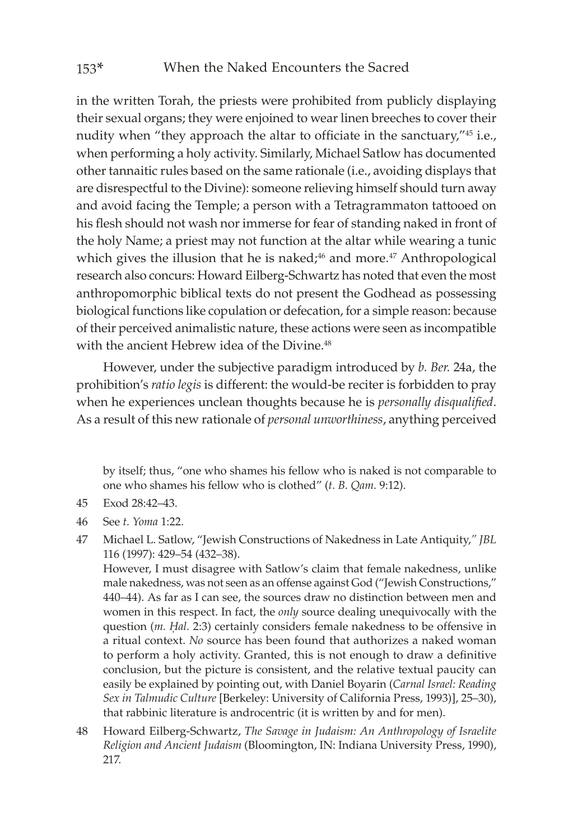in the written Torah, the priests were prohibited from publicly displaying their sexual organs; they were enjoined to wear linen breeches to cover their nudity when "they approach the altar to officiate in the sanctuary,"<sup>45</sup> i.e., when performing a holy activity. Similarly, Michael Satlow has documented other tannaitic rules based on the same rationale (i.e., avoiding displays that are disrespectful to the Divine): someone relieving himself should turn away and avoid facing the Temple; a person with a Tetragrammaton tattooed on his flesh should not wash nor immerse for fear of standing naked in front of the holy Name; a priest may not function at the altar while wearing a tunic which gives the illusion that he is naked; $46$  and more. $47$  Anthropological research also concurs: Howard Eilberg-Schwartz has noted that even the most anthropomorphic biblical texts do not present the Godhead as possessing biological functions like copulation or defecation, for a simple reason: because of their perceived animalistic nature, these actions were seen as incompatible with the ancient Hebrew idea of the Divine.<sup>48</sup>

However, under the subjective paradigm introduced by *b. Ber.* 24a, the prohibition's *ratio legis* is different: the would-be reciter is forbidden to pray when he experiences unclean thoughts because he is *personally disqualified*. As a result of this new rationale of *personal unworthiness*, anything perceived

by itself; thus, "one who shames his fellow who is naked is not comparable to one who shames his fellow who is clothed" (*t. B. Qam.* 9:12).

- 45 Exod 28:42–43.
- 46 See *t. Yoma* 1:22.
- 47 Michael L. Satlow, "Jewish Constructions of Nakedness in Late Antiquity,*" JBL*  116 (1997): 429–54 (432–38).

However, I must disagree with Satlow's claim that female nakedness, unlike male nakedness, was not seen as an offense against God ("Jewish Constructions," 440–44). As far as I can see, the sources draw no distinction between men and women in this respect. In fact, the *only* source dealing unequivocally with the question (*m. Hal.* 2:3) certainly considers female nakedness to be offensive in a ritual context. *No* source has been found that authorizes a naked woman to perform a holy activity. Granted, this is not enough to draw a definitive conclusion, but the picture is consistent, and the relative textual paucity can easily be explained by pointing out, with Daniel Boyarin (*Carnal Israel: Reading Sex in Talmudic Culture* [Berkeley: University of California Press, 1993)], 25–30), that rabbinic literature is androcentric (it is written by and for men).

48 Howard Eilberg-Schwartz, *The Savage in Judaism: An Anthropology of Israelite Religion and Ancient Judaism* (Bloomington, IN: Indiana University Press, 1990), 217.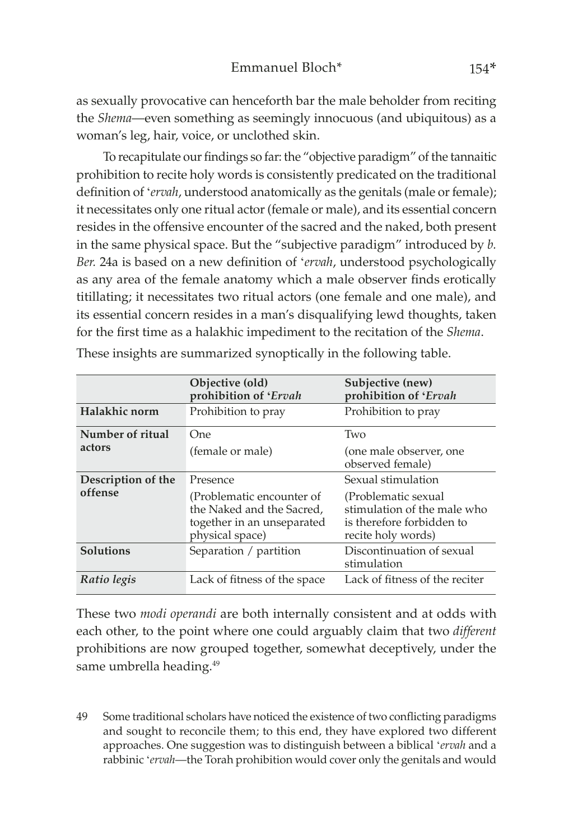as sexually provocative can henceforth bar the male beholder from reciting the *Shema*—even something as seemingly innocuous (and ubiquitous) as a woman's leg, hair, voice, or unclothed skin.

To recapitulate our findings so far: the "objective paradigm" of the tannaitic prohibition to recite holy words is consistently predicated on the traditional definition of '*ervah*, understood anatomically as the genitals (male or female); it necessitates only one ritual actor (female or male), and its essential concern resides in the offensive encounter of the sacred and the naked, both present in the same physical space. But the "subjective paradigm" introduced by *b. Ber.* 24a is based on a new definition of '*ervah*, understood psychologically as any area of the female anatomy which a male observer finds erotically titillating; it necessitates two ritual actors (one female and one male), and its essential concern resides in a man's disqualifying lewd thoughts, taken for the first time as a halakhic impediment to the recitation of the *Shema*.

|                               | Objective (old)<br>prohibition of 'Ervah                                                                | Subjective (new)<br>prohibition of 'Ervah                                                              |
|-------------------------------|---------------------------------------------------------------------------------------------------------|--------------------------------------------------------------------------------------------------------|
| Halakhic norm                 | Prohibition to pray                                                                                     | Prohibition to pray                                                                                    |
| Number of ritual              | One                                                                                                     | Two                                                                                                    |
| actors                        | (female or male)                                                                                        | (one male observer, one<br>observed female)                                                            |
| Description of the<br>offense | Presence                                                                                                | Sexual stimulation                                                                                     |
|                               | (Problematic encounter of<br>the Naked and the Sacred,<br>together in an unseparated<br>physical space) | (Problematic sexual)<br>stimulation of the male who<br>is therefore forbidden to<br>recite holy words) |
| <b>Solutions</b>              | Separation / partition                                                                                  | Discontinuation of sexual<br>stimulation                                                               |
| Ratio legis                   | Lack of fitness of the space                                                                            | Lack of fitness of the reciter                                                                         |

These insights are summarized synoptically in the following table.

These two *modi operandi* are both internally consistent and at odds with each other, to the point where one could arguably claim that two *different* prohibitions are now grouped together, somewhat deceptively, under the same umbrella heading.<sup>49</sup>

49 Some traditional scholars have noticed the existence of two conflicting paradigms and sought to reconcile them; to this end, they have explored two different approaches. One suggestion was to distinguish between a biblical '*ervah* and a rabbinic '*ervah*—the Torah prohibition would cover only the genitals and would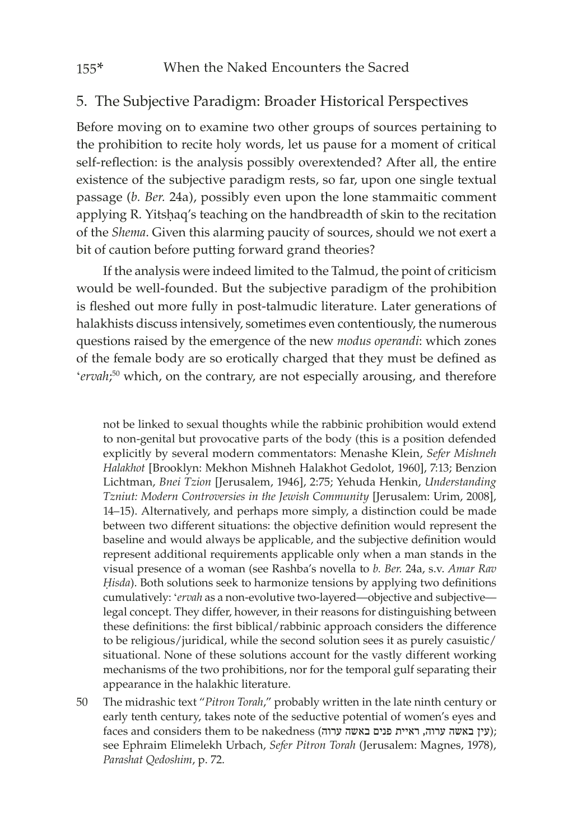#### 5. The Subjective Paradigm: Broader Historical Perspectives

Before moving on to examine two other groups of sources pertaining to the prohibition to recite holy words, let us pause for a moment of critical self-reflection: is the analysis possibly overextended? After all, the entire existence of the subjective paradigm rests, so far, upon one single textual passage (*b. Ber.* 24a), possibly even upon the lone stammaitic comment applying R. Yitsḥaq's teaching on the handbreadth of skin to the recitation of the *Shema*. Given this alarming paucity of sources, should we not exert a bit of caution before putting forward grand theories?

If the analysis were indeed limited to the Talmud, the point of criticism would be well-founded. But the subjective paradigm of the prohibition is fleshed out more fully in post-talmudic literature. Later generations of halakhists discuss intensively, sometimes even contentiously, the numerous questions raised by the emergence of the new *modus operandi*: which zones of the female body are so erotically charged that they must be defined as '*ervah*; 50 which, on the contrary, are not especially arousing, and therefore

not be linked to sexual thoughts while the rabbinic prohibition would extend to non-genital but provocative parts of the body (this is a position defended explicitly by several modern commentators: Menashe Klein, *Sefer Mishneh Halakhot* [Brooklyn: Mekhon Mishneh Halakhot Gedolot, 1960], 7:13; Benzion Lichtman, *Bnei Tzion* [Jerusalem, 1946], 2:75; Yehuda Henkin, *Understanding Tzniut: Modern Controversies in the Jewish Community* [Jerusalem: Urim, 2008], 14–15). Alternatively, and perhaps more simply, a distinction could be made between two different situations: the objective definition would represent the baseline and would always be applicable, and the subjective definition would represent additional requirements applicable only when a man stands in the visual presence of a woman (see Rashba's novella to *b. Ber.* 24a, s.v. *Amar Rav Ḥisda*). Both solutions seek to harmonize tensions by applying two definitions cumulatively: '*ervah* as a non-evolutive two-layered—objective and subjective legal concept. They differ, however, in their reasons for distinguishing between these definitions: the first biblical/rabbinic approach considers the difference to be religious/juridical, while the second solution sees it as purely casuistic/ situational. None of these solutions account for the vastly different working mechanisms of the two prohibitions, nor for the temporal gulf separating their appearance in the halakhic literature.

50 The midrashic text "*Pitron Torah*," probably written in the late ninth century or early tenth century, takes note of the seductive potential of women's eyes and faces and considers them to be nakedness (עין באשה ערוה, ראיית פנים באשה ערוה); see Ephraim Elimelekh Urbach, *Sefer Pitron Torah* (Jerusalem: Magnes, 1978), *Parashat Qedoshim*, p. 72.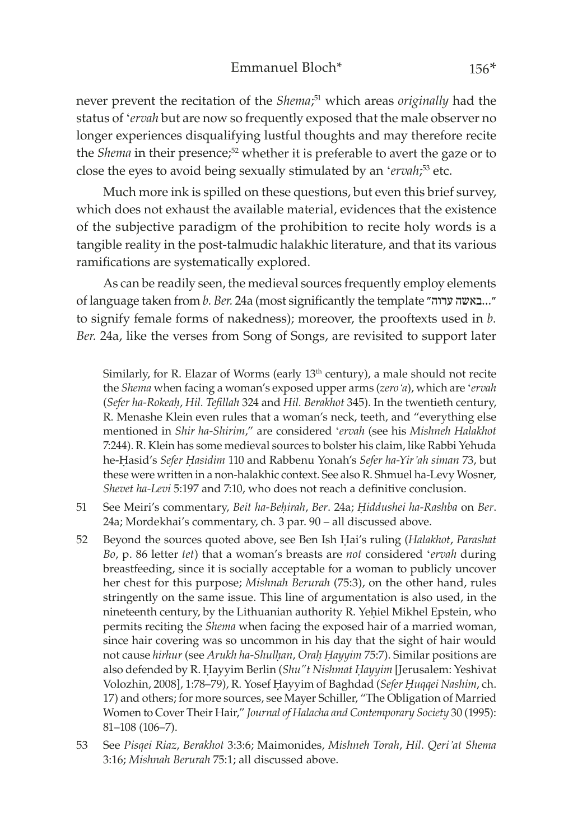never prevent the recitation of the *Shema*; 51 which areas *originally* had the status of '*ervah* but are now so frequently exposed that the male observer no longer experiences disqualifying lustful thoughts and may therefore recite the *Shema* in their presence;<sup>52</sup> whether it is preferable to avert the gaze or to close the eyes to avoid being sexually stimulated by an '*ervah*; 53 etc.

Much more ink is spilled on these questions, but even this brief survey, which does not exhaust the available material, evidences that the existence of the subjective paradigm of the prohibition to recite holy words is a tangible reality in the post-talmudic halakhic literature, and that its various ramifications are systematically explored.

As can be readily seen, the medieval sources frequently employ elements of language taken from *b. Ber.* 24a (most significantly the template ערוה״ באשה...״ to signify female forms of nakedness); moreover, the prooftexts used in *b. Ber.* 24a, like the verses from Song of Songs, are revisited to support later

Similarly, for R. Elazar of Worms (early 13<sup>th</sup> century), a male should not recite the *Shema* when facing a woman's exposed upper arms (*zero'a*), which are '*ervah* (*Sefer ha-Rokeaḥ*, *Hil. Tefillah* 324 and *Hil. Berakhot* 345). In the twentieth century, R. Menashe Klein even rules that a woman's neck, teeth, and "everything else mentioned in *Shir ha-Shirim*," are considered '*ervah* (see his *Mishneh Halakhot* 7:244). R. Klein has some medieval sources to bolster his claim, like Rabbi Yehuda he-Ḥasid's *Sefer Ḥasidim* 110 and Rabbenu Yonah's *Sefer ha-Yir'ah siman* 73, but these were written in a non-halakhic context. See also R. Shmuel ha-Levy Wosner, *Shevet ha-Levi* 5:197 and 7:10, who does not reach a definitive conclusion.

- 51 See Meiri's commentary, *Beit ha-Beḥirah*, *Ber*. 24a; *Ḥiddushei ha-Rashba* on *Ber*. 24a; Mordekhai's commentary, ch. 3 par. 90 – all discussed above.
- 52 Beyond the sources quoted above, see Ben Ish Ḥai's ruling (*Halakhot*, *Parashat Bo*, p. 86 letter *tet*) that a woman's breasts are *not* considered '*ervah* during breastfeeding, since it is socially acceptable for a woman to publicly uncover her chest for this purpose; *Mishnah Berurah* (75:3), on the other hand, rules stringently on the same issue. This line of argumentation is also used, in the nineteenth century, by the Lithuanian authority R. Yeḥiel Mikhel Epstein, who permits reciting the *Shema* when facing the exposed hair of a married woman, since hair covering was so uncommon in his day that the sight of hair would not cause *hirhur* (see *Arukh ha-Shulḥan*, *Oraḥ Ḥayyim* 75:7). Similar positions are also defended by R. Ḥayyim Berlin (*Shu"t Nishmat Ḥayyim* [Jerusalem: Yeshivat Volozhin, 2008], 1:78–79), R. Yosef Ḥ̣ayyim of Baghdad (*Sefer Ḥ̣uqqei Nashim*, ch. 17) and others; for more sources, see Mayer Schiller, "The Obligation of Married Women to Cover Their Hair," *Journal of Halacha and Contemporary Society* 30 (1995): 81–108 (106–7).
- 53 See *Pisqei Riaz*, *Berakhot* 3:3:6; Maimonides, *Mishneh Torah*, *Hil. Qeri'at Shema* 3:16; *Mishnah Berurah* 75:1; all discussed above.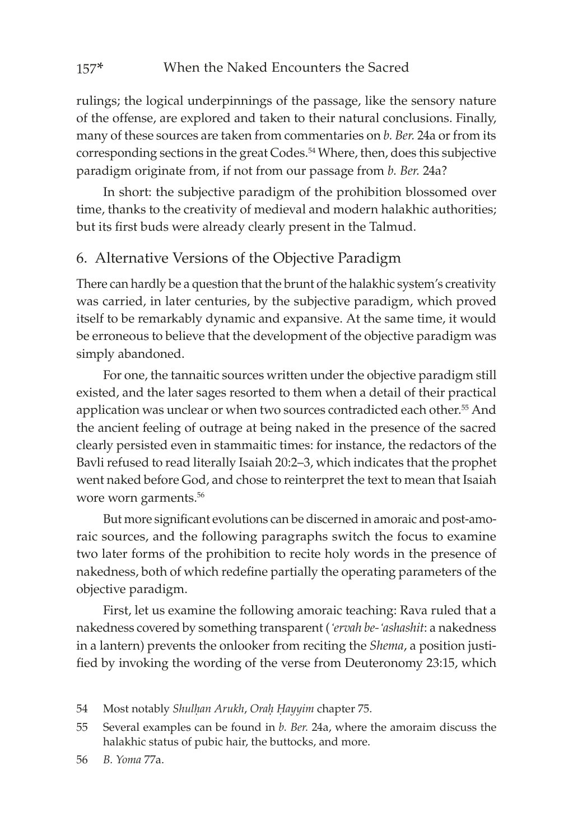rulings; the logical underpinnings of the passage, like the sensory nature of the offense, are explored and taken to their natural conclusions. Finally, many of these sources are taken from commentaries on *b. Ber.* 24a or from its corresponding sections in the great Codes.54 Where, then, does this subjective paradigm originate from, if not from our passage from *b. Ber.* 24a?

In short: the subjective paradigm of the prohibition blossomed over time, thanks to the creativity of medieval and modern halakhic authorities; but its first buds were already clearly present in the Talmud.

#### 6. Alternative Versions of the Objective Paradigm

There can hardly be a question that the brunt of the halakhic system's creativity was carried, in later centuries, by the subjective paradigm, which proved itself to be remarkably dynamic and expansive. At the same time, it would be erroneous to believe that the development of the objective paradigm was simply abandoned.

For one, the tannaitic sources written under the objective paradigm still existed, and the later sages resorted to them when a detail of their practical application was unclear or when two sources contradicted each other.<sup>55</sup> And the ancient feeling of outrage at being naked in the presence of the sacred clearly persisted even in stammaitic times: for instance, the redactors of the Bavli refused to read literally Isaiah 20:2–3, which indicates that the prophet went naked before God, and chose to reinterpret the text to mean that Isaiah wore worn garments.<sup>56</sup>

But more significant evolutions can be discerned in amoraic and post-amoraic sources, and the following paragraphs switch the focus to examine two later forms of the prohibition to recite holy words in the presence of nakedness, both of which redefine partially the operating parameters of the objective paradigm.

First, let us examine the following amoraic teaching: Rava ruled that a nakedness covered by something transparent (*'ervah be-'ashashit*: a nakedness in a lantern) prevents the onlooker from reciting the *Shema*, a position justified by invoking the wording of the verse from Deuteronomy 23:15, which

<sup>54</sup> Most notably *Shulḥan Arukh*, *Oraḥ Ḥayyim* chapter 75.

<sup>55</sup> Several examples can be found in *b. Ber.* 24a, where the amoraim discuss the halakhic status of pubic hair, the buttocks, and more.

<sup>56</sup> *B. Yoma* 77a.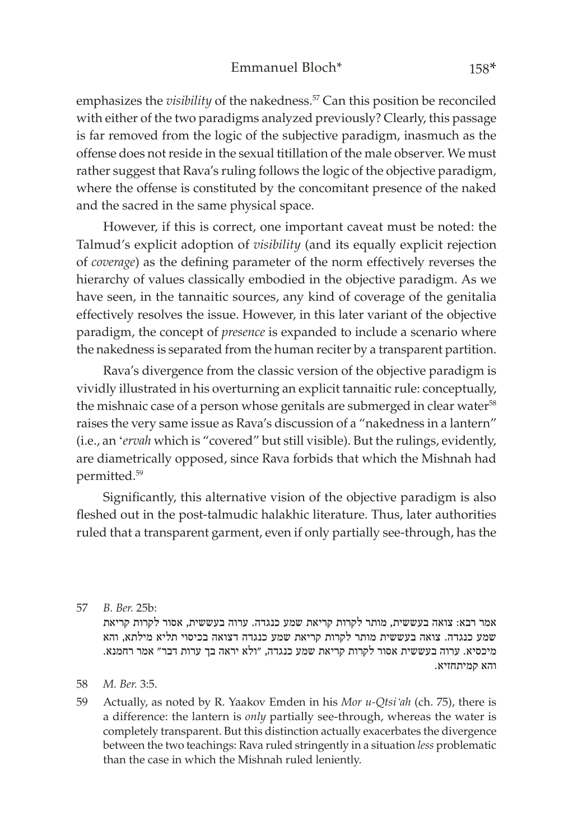emphasizes the *visibility* of the nakedness.<sup>57</sup> Can this position be reconciled with either of the two paradigms analyzed previously? Clearly, this passage is far removed from the logic of the subjective paradigm, inasmuch as the offense does not reside in the sexual titillation of the male observer. We must rather suggest that Rava's ruling follows the logic of the objective paradigm, where the offense is constituted by the concomitant presence of the naked and the sacred in the same physical space.

However, if this is correct, one important caveat must be noted: the Talmud's explicit adoption of *visibility* (and its equally explicit rejection of *coverage*) as the defining parameter of the norm effectively reverses the hierarchy of values classically embodied in the objective paradigm. As we have seen, in the tannaitic sources, any kind of coverage of the genitalia effectively resolves the issue. However, in this later variant of the objective paradigm, the concept of *presence* is expanded to include a scenario where the nakedness is separated from the human reciter by a transparent partition.

Rava's divergence from the classic version of the objective paradigm is vividly illustrated in his overturning an explicit tannaitic rule: conceptually, the mishnaic case of a person whose genitals are submerged in clear water<sup>58</sup> raises the very same issue as Rava's discussion of a "nakedness in a lantern" (i.e., an '*ervah* which is "covered" but still visible). But the rulings, evidently, are diametrically opposed, since Rava forbids that which the Mishnah had permitted.59

Significantly, this alternative vision of the objective paradigm is also fleshed out in the post-talmudic halakhic literature. Thus, later authorities ruled that a transparent garment, even if only partially see-through, has the

אמר רבא: צואה בעששית, מותר לקרות קריאת שמע כנגדה. ערוה בעששית, אסור לקרות קריאת שמע כנגדה. צואה בעששית מותר לקרות קריאת שמע כנגדה דצואה בכיסוי תליא מילתא, והא מיכסיא. ערוה בעששית אסור לקרות קריאת שמע כנגדה, ״ולא יראה בך ערות דבר״ אמר רחמנא. והא קמיתחזיא.

59 Actually, as noted by R. Yaakov Emden in his *Mor u-Qtsi'ah* (ch. 75), there is a difference: the lantern is *only* partially see-through, whereas the water is completely transparent. But this distinction actually exacerbates the divergence between the two teachings: Rava ruled stringently in a situation *less* problematic than the case in which the Mishnah ruled leniently.

<sup>57</sup> *B. Ber.* 25b:

<sup>58</sup> *M. Ber.* 3:5.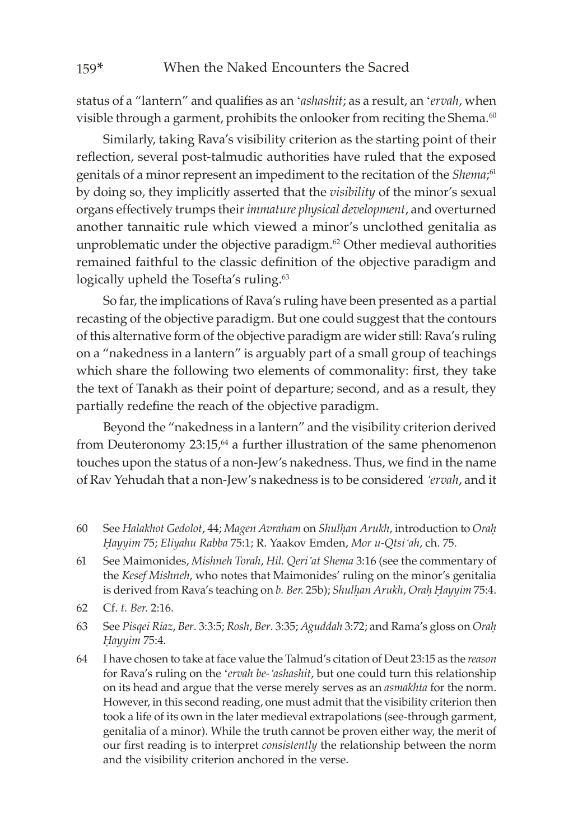status of a "lantern" and qualifies as an '*ashashit*; as a result, an '*ervah*, when visible through a garment, prohibits the onlooker from reciting the Shema.<sup>60</sup>

Similarly, taking Rava's visibility criterion as the starting point of their reflection, several post-talmudic authorities have ruled that the exposed genitals of a minor represent an impediment to the recitation of the *Shema*; 61 by doing so, they implicitly asserted that the *visibility* of the minor's sexual organs effectively trumps their *immature physical development*, and overturned another tannaitic rule which viewed a minor's unclothed genitalia as unproblematic under the objective paradigm.<sup>62</sup> Other medieval authorities remained faithful to the classic definition of the objective paradigm and logically upheld the Tosefta's ruling.<sup>63</sup>

So far, the implications of Rava's ruling have been presented as a partial recasting of the objective paradigm. But one could suggest that the contours of this alternative form of the objective paradigm are wider still: Rava's ruling on a "nakedness in a lantern" is arguably part of a small group of teachings which share the following two elements of commonality: first, they take the text of Tanakh as their point of departure; second, and as a result, they partially redefine the reach of the objective paradigm.

Beyond the "nakedness in a lantern" and the visibility criterion derived from Deuteronomy  $23:15$ ,<sup>64</sup> a further illustration of the same phenomenon touches upon the status of a non-Jew's nakedness. Thus, we find in the name of Rav Yehudah that a non-Jew's nakedness is to be considered *'ervah*, and it

- 60 See *Halakhot Gedolot*, 44; *Magen Avraham* on *Shulḥan Arukh*, introduction to *Oraḥ Ḥayyim* 75; *Eliyahu Rabba* 75:1; R. Yaakov Emden, *Mor u-Qtsi'ah*, ch. 75.
- 61 See Maimonides, *Mishneh Torah*, *Hil. Qeri'at Shema* 3:16 (see the commentary of the *Kesef Mishneh*, who notes that Maimonides' ruling on the minor's genitalia is derived from Rava's teaching on *b. Ber.* 25b); *Shulḥan Arukh*, *Oraḥ Ḥayyim* 75:4.
- 62 Cf. *t. Ber.* 2:16.
- 63 See *Pisqei Riaz*, *Ber*. 3:3:5; *Rosh*, *Ber*. 3:35; *Aguddah* 3:72; and Rama's gloss on *Oraḥ Ḥayyim* 75:4.
- 64 I have chosen to take at face value the Talmud's citation of Deut 23:15 as the *reason* for Rava's ruling on the '*ervah be-'ashashit*, but one could turn this relationship on its head and argue that the verse merely serves as an *asmakhta* for the norm. However, in this second reading, one must admit that the visibility criterion then took a life of its own in the later medieval extrapolations (see-through garment, genitalia of a minor). While the truth cannot be proven either way, the merit of our first reading is to interpret *consistently* the relationship between the norm and the visibility criterion anchored in the verse.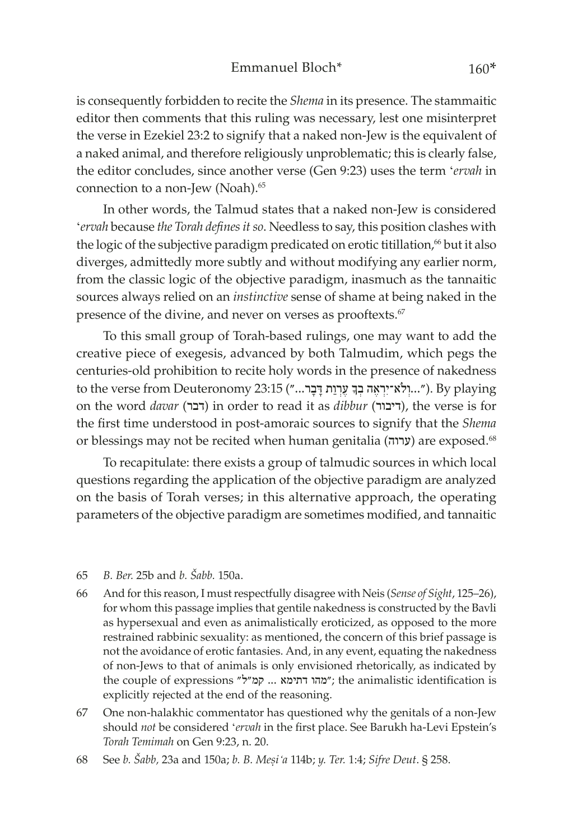is consequently forbidden to recite the *Shema* in its presence. The stammaitic editor then comments that this ruling was necessary, lest one misinterpret the verse in Ezekiel 23:2 to signify that a naked non-Jew is the equivalent of a naked animal, and therefore religiously unproblematic; this is clearly false, the editor concludes, since another verse (Gen 9:23) uses the term '*ervah* in connection to a non-Jew (Noah).<sup>65</sup>

In other words, the Talmud states that a naked non-Jew is considered '*ervah* because *the Torah defines it so*. Needless to say, this position clashes with the logic of the subjective paradigm predicated on erotic titillation,<sup>66</sup> but it also diverges, admittedly more subtly and without modifying any earlier norm, from the classic logic of the objective paradigm, inasmuch as the tannaitic sources always relied on an *instinctive* sense of shame at being naked in the presence of the divine, and never on verses as prooftexts.<sup>67</sup>

To this small group of Torah-based rulings, one may want to add the creative piece of exegesis, advanced by both Talmudim, which pegs the centuries-old prohibition to recite holy words in the presence of nakedness to the verse from Deuteronomy 23:15 ("...יְלִא־יִרְאֶה בְּךָ עֶרְוַת דָּבָר..."). By playing on the word *davar* (דבר) in order to read it as *dibbur* (דיבור), the verse is for the first time understood in post-amoraic sources to signify that the *Shema* or blessings may not be recited when human genitalia (ערוה (are exposed.68

To recapitulate: there exists a group of talmudic sources in which local questions regarding the application of the objective paradigm are analyzed on the basis of Torah verses; in this alternative approach, the operating parameters of the objective paradigm are sometimes modified, and tannaitic

#### 65 *B. Ber.* 25b and *b. Šabb.* 150a.

- 66 And for this reason, I must respectfully disagree with Neis (*Sense of Sight*, 125–26), for whom this passage implies that gentile nakedness is constructed by the Bavli as hypersexual and even as animalistically eroticized, as opposed to the more restrained rabbinic sexuality: as mentioned, the concern of this brief passage is not the avoidance of erotic fantasies. And, in any event, equating the nakedness of non-Jews to that of animals is only envisioned rhetorically, as indicated by the couple of expressions "מהו דתימא ... קמ"ל" ;the animalistic identification is explicitly rejected at the end of the reasoning.
- 67 One non-halakhic commentator has questioned why the genitals of a non-Jew should *not* be considered '*ervah* in the first place. See Barukh ha-Levi Epstein's *Torah Temimah* on Gen 9:23, n. 20.
- 68 See *b. Šabb,* 23a and 150a; *b. B. Meṣi'a* 114b; *y. Ter.* 1:4; *Sifre Deut*. § 258.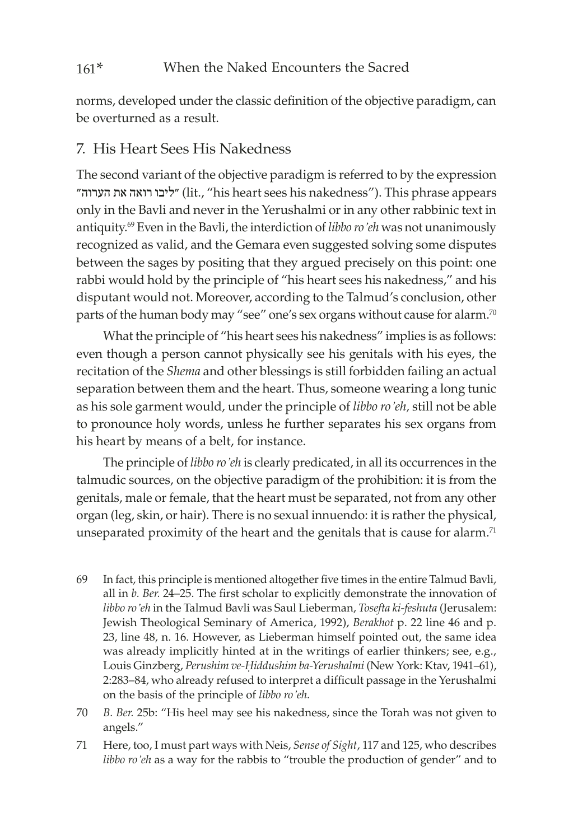norms, developed under the classic definition of the objective paradigm, can be overturned as a result.

### 7. His Heart Sees His Nakedness

The second variant of the objective paradigm is referred to by the expression הערוה״ את רואה ״ליבו) lit., "his heart sees his nakedness"). This phrase appears only in the Bavli and never in the Yerushalmi or in any other rabbinic text in antiquity.69 Even in the Bavli, the interdiction of *libbo ro'eh* was not unanimously recognized as valid, and the Gemara even suggested solving some disputes between the sages by positing that they argued precisely on this point: one rabbi would hold by the principle of "his heart sees his nakedness," and his disputant would not. Moreover, according to the Talmud's conclusion, other parts of the human body may "see" one's sex organs without cause for alarm.<sup>70</sup>

What the principle of "his heart sees his nakedness" implies is as follows: even though a person cannot physically see his genitals with his eyes, the recitation of the *Shema* and other blessings is still forbidden failing an actual separation between them and the heart. Thus, someone wearing a long tunic as his sole garment would, under the principle of *libbo ro'eh,* still not be able to pronounce holy words, unless he further separates his sex organs from his heart by means of a belt, for instance.

The principle of *libbo ro'eh* is clearly predicated, in all its occurrences in the talmudic sources, on the objective paradigm of the prohibition: it is from the genitals, male or female, that the heart must be separated, not from any other organ (leg, skin, or hair). There is no sexual innuendo: it is rather the physical, unseparated proximity of the heart and the genitals that is cause for alarm.<sup>71</sup>

- 69 In fact, this principle is mentioned altogether five times in the entire Talmud Bavli, all in *b. Ber.* 24–25. The first scholar to explicitly demonstrate the innovation of *libbo ro'eh* in the Talmud Bavli was Saul Lieberman, *Tosefta ki-feshuta* (Jerusalem: Jewish Theological Seminary of America, 1992), *Berakhot* p. 22 line 46 and p. 23, line 48, n. 16. However, as Lieberman himself pointed out, the same idea was already implicitly hinted at in the writings of earlier thinkers; see, e.g., Louis Ginzberg, *Perushim ve-Ḥiddushim ba-Yerushalmi* (New York: Ktav, 1941–61), 2:283–84, who already refused to interpret a difficult passage in the Yerushalmi on the basis of the principle of *libbo ro'eh.*
- 70 *B. Ber.* 25b: "His heel may see his nakedness, since the Torah was not given to angels."
- 71 Here, too, I must part ways with Neis, *Sense of Sight*, 117 and 125, who describes *libbo ro'eh* as a way for the rabbis to "trouble the production of gender" and to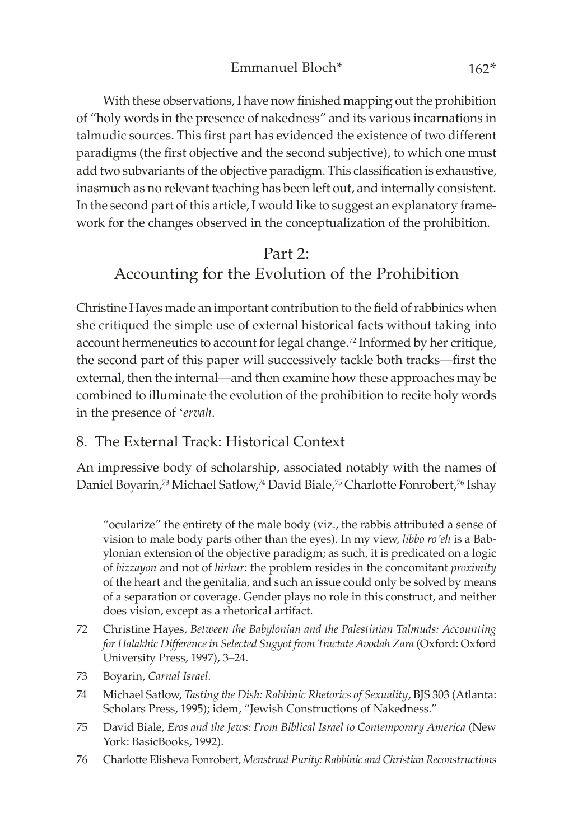With these observations, I have now finished mapping out the prohibition of "holy words in the presence of nakedness" and its various incarnations in talmudic sources. This first part has evidenced the existence of two different paradigms (the first objective and the second subjective), to which one must add two subvariants of the objective paradigm. This classification is exhaustive, inasmuch as no relevant teaching has been left out, and internally consistent. In the second part of this article, I would like to suggest an explanatory framework for the changes observed in the conceptualization of the prohibition.

## Part  $2$ . Accounting for the Evolution of the Prohibition

Christine Hayes made an important contribution to the field of rabbinics when she critiqued the simple use of external historical facts without taking into account hermeneutics to account for legal change.<sup>72</sup> Informed by her critique, the second part of this paper will successively tackle both tracks—first the external, then the internal—and then examine how these approaches may be combined to illuminate the evolution of the prohibition to recite holy words in the presence of '*ervah*.

### 8. The External Track: Historical Context

An impressive body of scholarship, associated notably with the names of Daniel Boyarin,<sup>73</sup> Michael Satlow,<sup>74</sup> David Biale,<sup>75</sup> Charlotte Fonrobert,<sup>76</sup> Ishay

"ocularize" the entirety of the male body (viz., the rabbis attributed a sense of vision to male body parts other than the eyes). In my view, *libbo ro'eh* is a Babylonian extension of the objective paradigm; as such, it is predicated on a logic of *bizzayon* and not of *hirhur*: the problem resides in the concomitant *proximity* of the heart and the genitalia, and such an issue could only be solved by means of a separation or coverage. Gender plays no role in this construct, and neither does vision, except as a rhetorical artifact.

- 72 Christine Hayes, *Between the Babylonian and the Palestinian Talmuds: Accounting for Halakhic Difference in Selected Sugyot from Tractate Avodah Zara* (Oxford: Oxford University Press, 1997), 3–24.
- 73 Boyarin, *Carnal Israel*.
- 74 Michael Satlow, *Tasting the Dish: Rabbinic Rhetorics of Sexuality*, BJS 303 (Atlanta: Scholars Press, 1995); idem, "Jewish Constructions of Nakedness."
- 75 David Biale, *Eros and the Jews: From Biblical Israel to Contemporary America* (New York: BasicBooks, 1992).
- 76 Charlotte Elisheva Fonrobert, *Menstrual Purity: Rabbinic and Christian Reconstructions*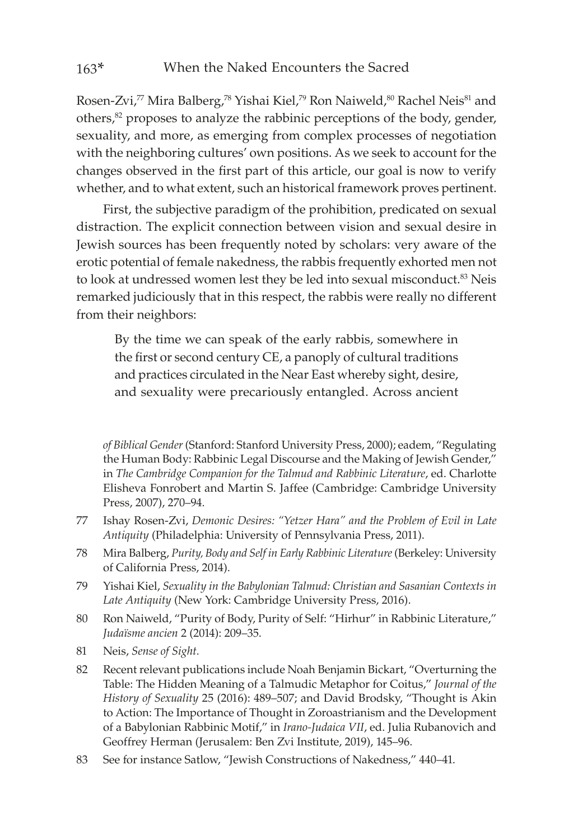Rosen-Zvi,<sup>77</sup> Mira Balberg,<sup>78</sup> Yishai Kiel,<sup>79</sup> Ron Naiweld,<sup>80</sup> Rachel Neis<sup>81</sup> and others,<sup>82</sup> proposes to analyze the rabbinic perceptions of the body, gender, sexuality, and more, as emerging from complex processes of negotiation with the neighboring cultures' own positions. As we seek to account for the changes observed in the first part of this article, our goal is now to verify whether, and to what extent, such an historical framework proves pertinent.

First, the subjective paradigm of the prohibition, predicated on sexual distraction. The explicit connection between vision and sexual desire in Jewish sources has been frequently noted by scholars: very aware of the erotic potential of female nakedness, the rabbis frequently exhorted men not to look at undressed women lest they be led into sexual misconduct.<sup>83</sup> Neis remarked judiciously that in this respect, the rabbis were really no different from their neighbors:

By the time we can speak of the early rabbis, somewhere in the first or second century CE, a panoply of cultural traditions and practices circulated in the Near East whereby sight, desire, and sexuality were precariously entangled. Across ancient

*of Biblical Gender* (Stanford: Stanford University Press, 2000); eadem, "Regulating the Human Body: Rabbinic Legal Discourse and the Making of Jewish Gender," in *The Cambridge Companion for the Talmud and Rabbinic Literature*, ed. Charlotte Elisheva Fonrobert and Martin S. Jaffee (Cambridge: Cambridge University Press, 2007), 270–94.

- 77 Ishay Rosen-Zvi, *Demonic Desires: "Yetzer Hara" and the Problem of Evil in Late Antiquity* (Philadelphia: University of Pennsylvania Press, 2011).
- 78 Mira Balberg, *Purity, Body and Self in Early Rabbinic Literature* (Berkeley: University of California Press, 2014).
- 79 Yishai Kiel, *Sexuality in the Babylonian Talmud: Christian and Sasanian Contexts in Late Antiquity* (New York: Cambridge University Press, 2016).
- 80 Ron Naiweld, "Purity of Body, Purity of Self: "Hirhur" in Rabbinic Literature," *Juda�sme ancien* 2 (2014): 209–35.
- 81 Neis, *Sense of Sight.*
- 82 Recent relevant publications include Noah Benjamin Bickart, "Overturning the Table: The Hidden Meaning of a Talmudic Metaphor for Coitus," *Journal of the History of Sexuality* 25 (2016): 489–507; and David Brodsky, "Thought is Akin to Action: The Importance of Thought in Zoroastrianism and the Development of a Babylonian Rabbinic Motif," in *Irano-Judaica VII*, ed. Julia Rubanovich and Geoffrey Herman (Jerusalem: Ben Zvi Institute, 2019), 145–96.
- 83 See for instance Satlow, "Jewish Constructions of Nakedness," 440–41.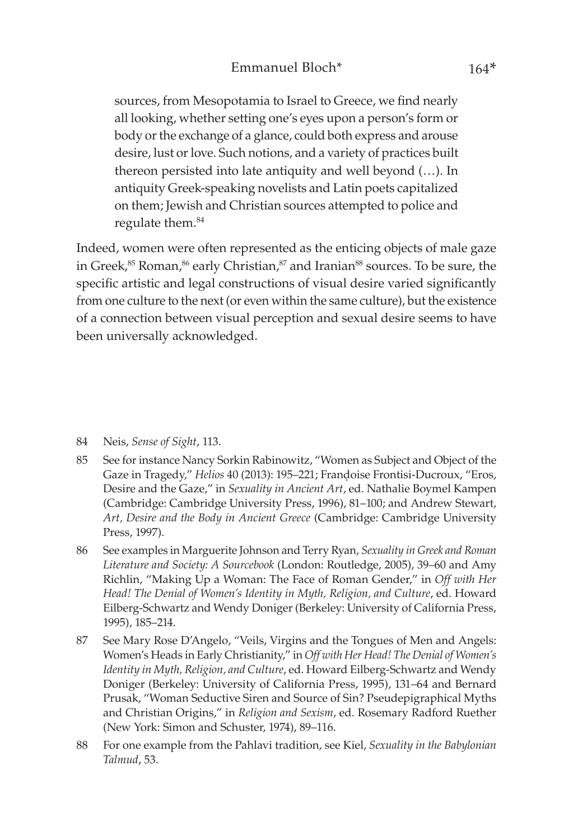sources, from Mesopotamia to Israel to Greece, we find nearly all looking, whether setting one's eyes upon a person's form or body or the exchange of a glance, could both express and arouse desire, lust or love. Such notions, and a variety of practices built thereon persisted into late antiquity and well beyond (…). In antiquity Greek-speaking novelists and Latin poets capitalized on them; Jewish and Christian sources attempted to police and regulate them.84

Indeed, women were often represented as the enticing objects of male gaze in Greek,<sup>85</sup> Roman,<sup>86</sup> early Christian,<sup>87</sup> and Iranian<sup>88</sup> sources. To be sure, the specific artistic and legal constructions of visual desire varied significantly from one culture to the next (or even within the same culture), but the existence of a connection between visual perception and sexual desire seems to have been universally acknowledged.

- 84 Neis, *Sense of Sight*, 113.
- 85 See for instance Nancy Sorkin Rabinowitz, "Women as Subject and Object of the Gaze in Tragedy," *Helios* 40 (2013): 195–221; Frandoise Frontisi-Ducroux, "Eros, Desire and the Gaze," in *Sexuality in Ancient Art*, ed. Nathalie Boymel Kampen (Cambridge: Cambridge University Press, 1996), 81–100; and Andrew Stewart, *Art, Desire and the Body in Ancient Greece* (Cambridge: Cambridge University Press, 1997).
- 86 See examples in Marguerite Johnson and Terry Ryan, *Sexuality in Greek and Roman Literature and Society: A Sourcebook* (London: Routledge, 2005), 39–60 and Amy Richlin, "Making Up a Woman: The Face of Roman Gender," in *Off with Her Head! The Denial of Women's Identity in Myth, Religion, and Culture*, ed. Howard Eilberg-Schwartz and Wendy Doniger (Berkeley: University of California Press, 1995), 185–214.
- 87 See Mary Rose D'Angelo, "Veils, Virgins and the Tongues of Men and Angels: Women's Heads in Early Christianity," in *Off with Her Head! The Denial of Women's Identity in Myth, Religion, and Culture*, ed. Howard Eilberg-Schwartz and Wendy Doniger (Berkeley: University of California Press, 1995), 131–64 and Bernard Prusak, "Woman Seductive Siren and Source of Sin? Pseudepigraphical Myths and Christian Origins," in *Religion and Sexism*, ed. Rosemary Radford Ruether (New York: Simon and Schuster, 1974), 89–116.
- 88 For one example from the Pahlavi tradition, see Kiel, *Sexuality in the Babylonian Talmud*, 53.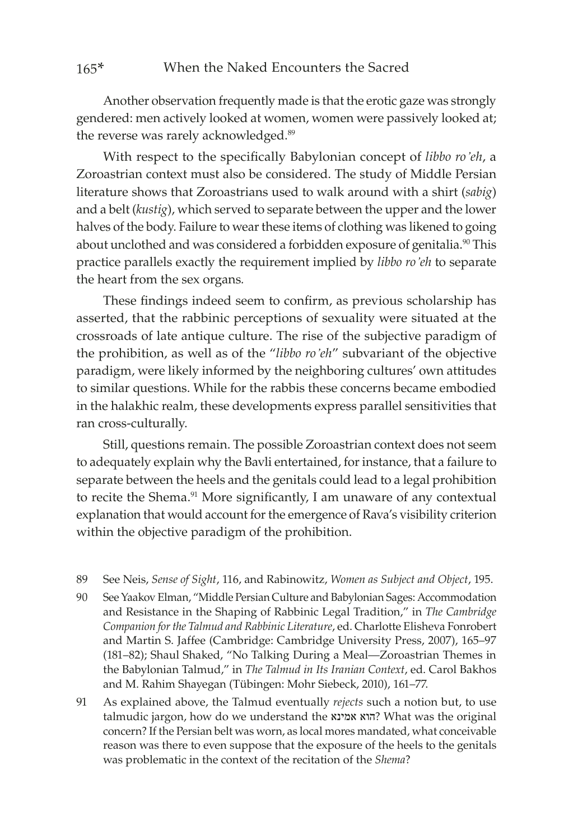Another observation frequently made is that the erotic gaze was strongly gendered: men actively looked at women, women were passively looked at; the reverse was rarely acknowledged.<sup>89</sup>

With respect to the specifically Babylonian concept of *libbo ro'eh*, a Zoroastrian context must also be considered. The study of Middle Persian literature shows that Zoroastrians used to walk around with a shirt (*sabig*) and a belt (*kustig*), which served to separate between the upper and the lower halves of the body. Failure to wear these items of clothing was likened to going about unclothed and was considered a forbidden exposure of genitalia.<sup>90</sup> This practice parallels exactly the requirement implied by *libbo ro'eh* to separate the heart from the sex organs*.*

These findings indeed seem to confirm, as previous scholarship has asserted, that the rabbinic perceptions of sexuality were situated at the crossroads of late antique culture. The rise of the subjective paradigm of the prohibition, as well as of the "*libbo ro'eh*" subvariant of the objective paradigm, were likely informed by the neighboring cultures' own attitudes to similar questions. While for the rabbis these concerns became embodied in the halakhic realm, these developments express parallel sensitivities that ran cross-culturally.

Still, questions remain. The possible Zoroastrian context does not seem to adequately explain why the Bavli entertained, for instance, that a failure to separate between the heels and the genitals could lead to a legal prohibition to recite the Shema.<sup>91</sup> More significantly, I am unaware of any contextual explanation that would account for the emergence of Rava's visibility criterion within the objective paradigm of the prohibition.

- 89 See Neis, *Sense of Sight*, 116, and Rabinowitz, *Women as Subject and Object*, 195.
- 90 See Yaakov Elman, "Middle Persian Culture and Babylonian Sages: Accommodation and Resistance in the Shaping of Rabbinic Legal Tradition," in *The Cambridge Companion for the Talmud and Rabbinic Literature*, ed. Charlotte Elisheva Fonrobert and Martin S. Jaffee (Cambridge: Cambridge University Press, 2007), 165–97 (181–82); Shaul Shaked, "No Talking During a Meal—Zoroastrian Themes in the Babylonian Talmud," in *The Talmud in Its Iranian Context*, ed. Carol Bakhos and M. Rahim Shayegan (Tübingen: Mohr Siebeck, 2010), 161–77.
- 91 As explained above, the Talmud eventually *rejects* such a notion but, to use talmudic jargon, how do we understand the אמינא הוא ?What was the original concern? If the Persian belt was worn, as local mores mandated, what conceivable reason was there to even suppose that the exposure of the heels to the genitals was problematic in the context of the recitation of the *Shema*?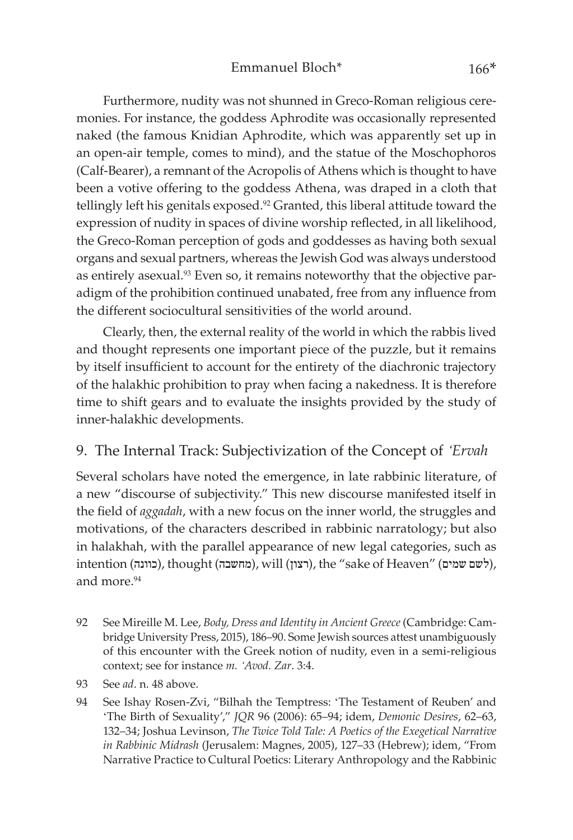Furthermore, nudity was not shunned in Greco-Roman religious ceremonies. For instance, the goddess Aphrodite was occasionally represented naked (the famous Knidian Aphrodite, which was apparently set up in an open-air temple, comes to mind), and the statue of the Moschophoros (Calf-Bearer), a remnant of the Acropolis of Athens which is thought to have been a votive offering to the goddess Athena, was draped in a cloth that tellingly left his genitals exposed.<sup>92</sup> Granted, this liberal attitude toward the expression of nudity in spaces of divine worship reflected, in all likelihood, the Greco-Roman perception of gods and goddesses as having both sexual organs and sexual partners, whereas the Jewish God was always understood as entirely asexual.<sup>93</sup> Even so, it remains noteworthy that the objective paradigm of the prohibition continued unabated, free from any influence from the different sociocultural sensitivities of the world around.

Clearly, then, the external reality of the world in which the rabbis lived and thought represents one important piece of the puzzle, but it remains by itself insufficient to account for the entirety of the diachronic trajectory of the halakhic prohibition to pray when facing a nakedness. It is therefore time to shift gears and to evaluate the insights provided by the study of inner-halakhic developments.

#### 9. The Internal Track: Subjectivization of the Concept of *'Ervah*

Several scholars have noted the emergence, in late rabbinic literature, of a new "discourse of subjectivity." This new discourse manifested itself in the field of *aggadah*, with a new focus on the inner world, the struggles and motivations, of the characters described in rabbinic narratology; but also in halakhah, with the parallel appearance of new legal categories, such as intention (כוונה), thought (מחשבה), will (רצון), the "sake of Heaven" (לשם שמים), and more.<sup>94</sup>

- 92 See Mireille M. Lee, *Body, Dress and Identity in Ancient Greece* (Cambridge: Cambridge University Press, 2015), 186–90. Some Jewish sources attest unambiguously of this encounter with the Greek notion of nudity, even in a semi-religious context; see for instance *m. 'Avod. Zar*. 3:4.
- 93 See *ad*. n. 48 above.
- 94 See Ishay Rosen-Zvi, "Bilhah the Temptress: 'The Testament of Reuben' and 'The Birth of Sexuality'," *JQR* 96 (2006): 65–94; idem, *Demonic Desires*, 62–63, 132–34; Joshua Levinson, *The Twice Told Tale: A Poetics of the Exegetical Narrative in Rabbinic Midrash* (Jerusalem: Magnes, 2005), 127–33 (Hebrew); idem, "From Narrative Practice to Cultural Poetics: Literary Anthropology and the Rabbinic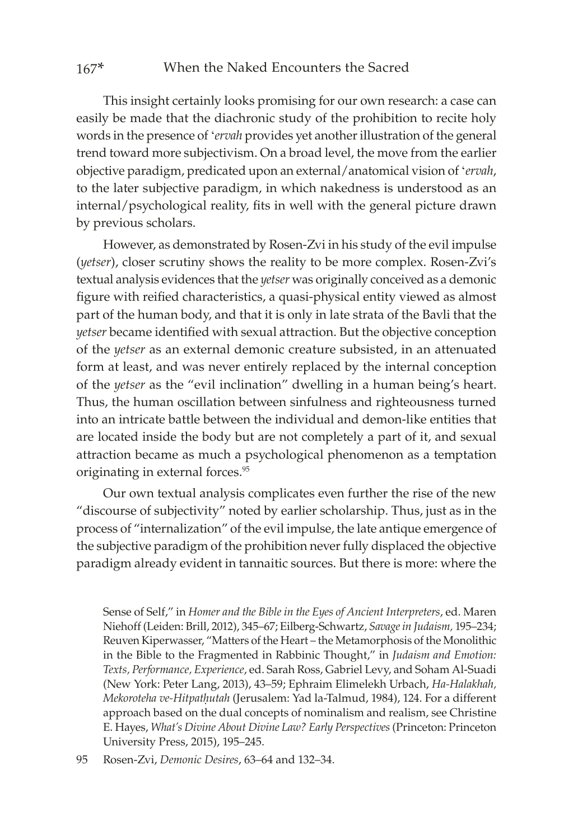This insight certainly looks promising for our own research: a case can easily be made that the diachronic study of the prohibition to recite holy words in the presence of '*ervah* provides yet another illustration of the general trend toward more subjectivism. On a broad level, the move from the earlier objective paradigm, predicated upon an external/anatomical vision of '*ervah*, to the later subjective paradigm, in which nakedness is understood as an internal/psychological reality, fits in well with the general picture drawn by previous scholars.

However, as demonstrated by Rosen-Zvi in his study of the evil impulse (*yetser*), closer scrutiny shows the reality to be more complex. Rosen-Zvi's textual analysis evidences that the *yetser* was originally conceived as a demonic figure with reified characteristics, a quasi-physical entity viewed as almost part of the human body, and that it is only in late strata of the Bavli that the *yetser* became identified with sexual attraction. But the objective conception of the *yetser* as an external demonic creature subsisted, in an attenuated form at least, and was never entirely replaced by the internal conception of the *yetser* as the "evil inclination" dwelling in a human being's heart. Thus, the human oscillation between sinfulness and righteousness turned into an intricate battle between the individual and demon-like entities that are located inside the body but are not completely a part of it, and sexual attraction became as much a psychological phenomenon as a temptation originating in external forces.<sup>95</sup>

Our own textual analysis complicates even further the rise of the new "discourse of subjectivity" noted by earlier scholarship. Thus, just as in the process of "internalization" of the evil impulse, the late antique emergence of the subjective paradigm of the prohibition never fully displaced the objective paradigm already evident in tannaitic sources. But there is more: where the

Sense of Self," in *Homer and the Bible in the Eyes of Ancient Interpreters*, ed. Maren Niehoff (Leiden: Brill, 2012), 345–67; Eilberg-Schwartz, *Savage in Judaism,* 195–234; Reuven Kiperwasser, "Matters of the Heart – the Metamorphosis of the Monolithic in the Bible to the Fragmented in Rabbinic Thought," in *Judaism and Emotion: Texts, Performance, Experience*, ed. Sarah Ross, Gabriel Levy, and Soham Al-Suadi (New York: Peter Lang, 2013), 43–59; Ephraim Elimelekh Urbach, *Ha-Halakhah, Mekoroteha ve-Hitpatḥutah* (Jerusalem: Yad la-Talmud, 1984), 124. For a different approach based on the dual concepts of nominalism and realism, see Christine E. Hayes, *What's Divine About Divine Law? Early Perspectives* (Princeton: Princeton University Press, 2015), 195–245.

95 Rosen-Zvi, *Demonic Desires*, 63–64 and 132–34.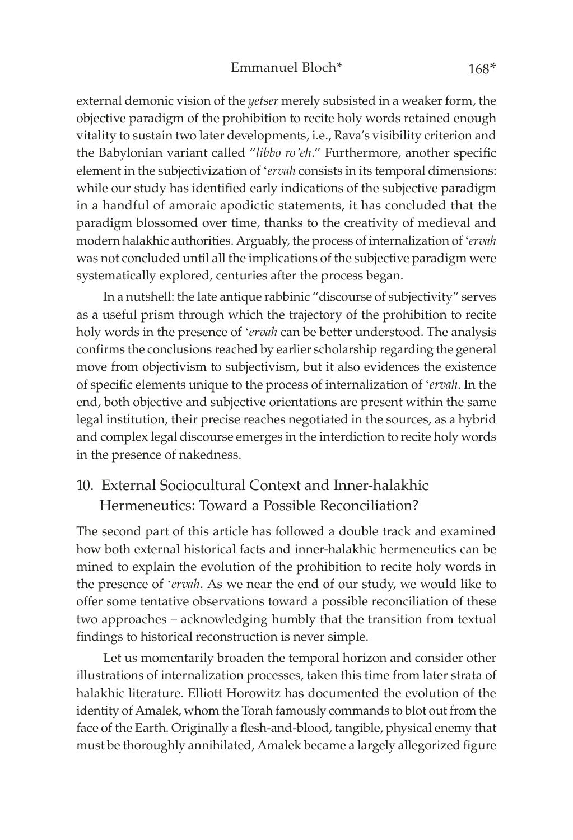external demonic vision of the *yetser* merely subsisted in a weaker form, the objective paradigm of the prohibition to recite holy words retained enough vitality to sustain two later developments, i.e., Rava's visibility criterion and the Babylonian variant called "*libbo ro'eh*." Furthermore, another specific element in the subjectivization of '*ervah* consists in its temporal dimensions: while our study has identified early indications of the subjective paradigm in a handful of amoraic apodictic statements, it has concluded that the paradigm blossomed over time, thanks to the creativity of medieval and modern halakhic authorities. Arguably, the process of internalization of '*ervah* was not concluded until all the implications of the subjective paradigm were systematically explored, centuries after the process began.

In a nutshell: the late antique rabbinic "discourse of subjectivity" serves as a useful prism through which the trajectory of the prohibition to recite holy words in the presence of '*ervah* can be better understood. The analysis confirms the conclusions reached by earlier scholarship regarding the general move from objectivism to subjectivism, but it also evidences the existence of specific elements unique to the process of internalization of '*ervah*. In the end, both objective and subjective orientations are present within the same legal institution, their precise reaches negotiated in the sources, as a hybrid and complex legal discourse emerges in the interdiction to recite holy words in the presence of nakedness.

### 10. External Sociocultural Context and Inner-halakhic Hermeneutics: Toward a Possible Reconciliation?

The second part of this article has followed a double track and examined how both external historical facts and inner-halakhic hermeneutics can be mined to explain the evolution of the prohibition to recite holy words in the presence of '*ervah*. As we near the end of our study, we would like to offer some tentative observations toward a possible reconciliation of these two approaches – acknowledging humbly that the transition from textual findings to historical reconstruction is never simple.

Let us momentarily broaden the temporal horizon and consider other illustrations of internalization processes, taken this time from later strata of halakhic literature. Elliott Horowitz has documented the evolution of the identity of Amalek, whom the Torah famously commands to blot out from the face of the Earth. Originally a flesh-and-blood, tangible, physical enemy that must be thoroughly annihilated, Amalek became a largely allegorized figure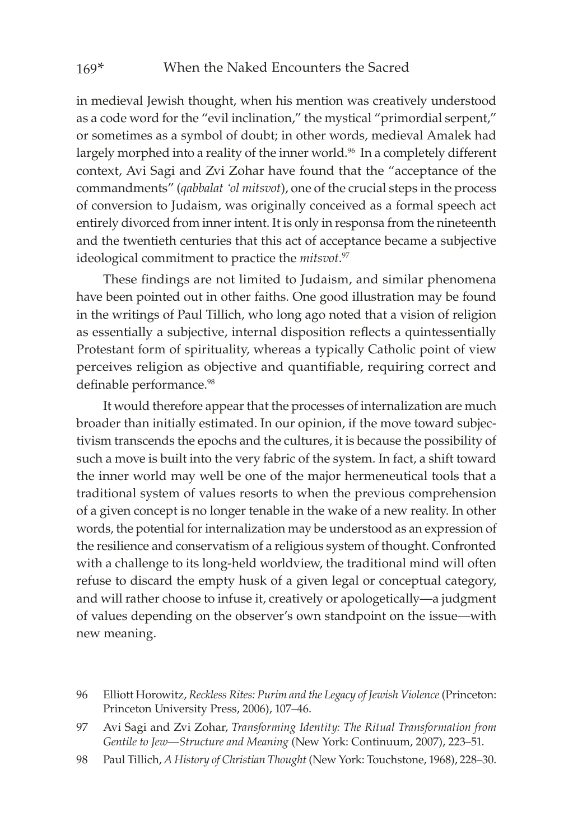in medieval Jewish thought, when his mention was creatively understood as a code word for the "evil inclination," the mystical "primordial serpent," or sometimes as a symbol of doubt; in other words, medieval Amalek had largely morphed into a reality of the inner world.<sup>96</sup> In a completely different context, Avi Sagi and Zvi Zohar have found that the "acceptance of the commandments" (*qabbalat 'ol mitsvot*), one of the crucial steps in the process of conversion to Judaism, was originally conceived as a formal speech act entirely divorced from inner intent. It is only in responsa from the nineteenth and the twentieth centuries that this act of acceptance became a subjective ideological commitment to practice the *mitsvot*. 97

These findings are not limited to Judaism, and similar phenomena have been pointed out in other faiths. One good illustration may be found in the writings of Paul Tillich, who long ago noted that a vision of religion as essentially a subjective, internal disposition reflects a quintessentially Protestant form of spirituality, whereas a typically Catholic point of view perceives religion as objective and quantifiable, requiring correct and definable performance.<sup>98</sup>

It would therefore appear that the processes of internalization are much broader than initially estimated. In our opinion, if the move toward subjectivism transcends the epochs and the cultures, it is because the possibility of such a move is built into the very fabric of the system. In fact, a shift toward the inner world may well be one of the major hermeneutical tools that a traditional system of values resorts to when the previous comprehension of a given concept is no longer tenable in the wake of a new reality. In other words, the potential for internalization may be understood as an expression of the resilience and conservatism of a religious system of thought. Confronted with a challenge to its long-held worldview, the traditional mind will often refuse to discard the empty husk of a given legal or conceptual category, and will rather choose to infuse it, creatively or apologetically—a judgment of values depending on the observer's own standpoint on the issue—with new meaning.

98 Paul Tillich, *A History of Christian Thought* (New York: Touchstone, 1968), 228–30.

<sup>96</sup> Elliott Horowitz, *Reckless Rites: Purim and the Legacy of Jewish Violence* (Princeton: Princeton University Press, 2006), 107–46.

<sup>97</sup> Avi Sagi and Zvi Zohar, *Transforming Identity: The Ritual Transformation from Gentile to Jew—Structure and Meaning* (New York: Continuum, 2007), 223–51.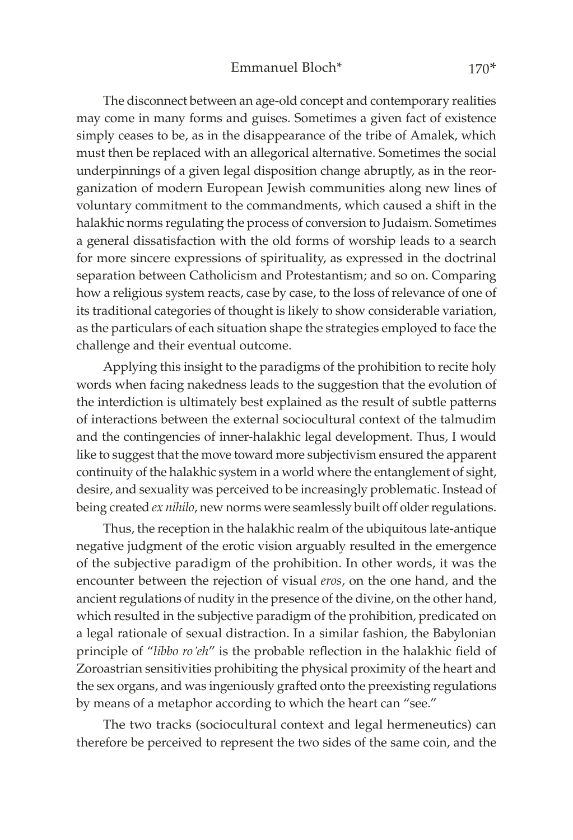The disconnect between an age-old concept and contemporary realities may come in many forms and guises. Sometimes a given fact of existence simply ceases to be, as in the disappearance of the tribe of Amalek, which must then be replaced with an allegorical alternative. Sometimes the social underpinnings of a given legal disposition change abruptly, as in the reorganization of modern European Jewish communities along new lines of voluntary commitment to the commandments, which caused a shift in the halakhic norms regulating the process of conversion to Judaism. Sometimes a general dissatisfaction with the old forms of worship leads to a search for more sincere expressions of spirituality, as expressed in the doctrinal separation between Catholicism and Protestantism; and so on. Comparing how a religious system reacts, case by case, to the loss of relevance of one of its traditional categories of thought is likely to show considerable variation, as the particulars of each situation shape the strategies employed to face the challenge and their eventual outcome.

Applying this insight to the paradigms of the prohibition to recite holy words when facing nakedness leads to the suggestion that the evolution of the interdiction is ultimately best explained as the result of subtle patterns of interactions between the external sociocultural context of the talmudim and the contingencies of inner-halakhic legal development. Thus, I would like to suggest that the move toward more subjectivism ensured the apparent continuity of the halakhic system in a world where the entanglement of sight, desire, and sexuality was perceived to be increasingly problematic. Instead of being created *ex nihilo*, new norms were seamlessly built off older regulations.

Thus, the reception in the halakhic realm of the ubiquitous late-antique negative judgment of the erotic vision arguably resulted in the emergence of the subjective paradigm of the prohibition. In other words, it was the encounter between the rejection of visual *eros*, on the one hand, and the ancient regulations of nudity in the presence of the divine, on the other hand, which resulted in the subjective paradigm of the prohibition, predicated on a legal rationale of sexual distraction. In a similar fashion, the Babylonian principle of "*libbo ro'eh*" is the probable reflection in the halakhic field of Zoroastrian sensitivities prohibiting the physical proximity of the heart and the sex organs, and was ingeniously grafted onto the preexisting regulations by means of a metaphor according to which the heart can "see."

The two tracks (sociocultural context and legal hermeneutics) can therefore be perceived to represent the two sides of the same coin, and the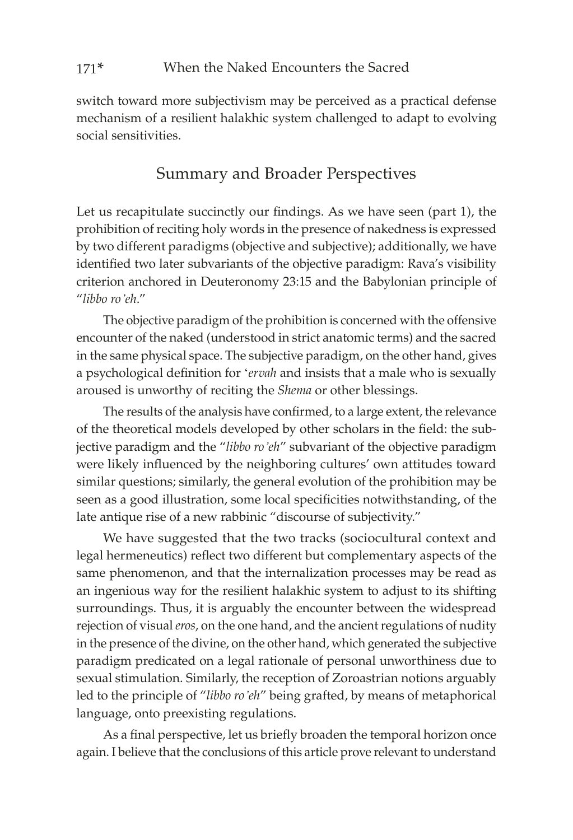switch toward more subjectivism may be perceived as a practical defense mechanism of a resilient halakhic system challenged to adapt to evolving social sensitivities.

## Summary and Broader Perspectives

Let us recapitulate succinctly our findings. As we have seen (part 1), the prohibition of reciting holy words in the presence of nakedness is expressed by two different paradigms (objective and subjective); additionally, we have identified two later subvariants of the objective paradigm: Rava's visibility criterion anchored in Deuteronomy 23:15 and the Babylonian principle of "*libbo ro'eh*."

The objective paradigm of the prohibition is concerned with the offensive encounter of the naked (understood in strict anatomic terms) and the sacred in the same physical space. The subjective paradigm, on the other hand, gives a psychological definition for '*ervah* and insists that a male who is sexually aroused is unworthy of reciting the *Shema* or other blessings.

The results of the analysis have confirmed, to a large extent, the relevance of the theoretical models developed by other scholars in the field: the subjective paradigm and the "*libbo ro'eh*" subvariant of the objective paradigm were likely influenced by the neighboring cultures' own attitudes toward similar questions; similarly, the general evolution of the prohibition may be seen as a good illustration, some local specificities notwithstanding, of the late antique rise of a new rabbinic "discourse of subjectivity."

We have suggested that the two tracks (sociocultural context and legal hermeneutics) reflect two different but complementary aspects of the same phenomenon, and that the internalization processes may be read as an ingenious way for the resilient halakhic system to adjust to its shifting surroundings. Thus, it is arguably the encounter between the widespread rejection of visual *eros*, on the one hand, and the ancient regulations of nudity in the presence of the divine, on the other hand, which generated the subjective paradigm predicated on a legal rationale of personal unworthiness due to sexual stimulation. Similarly, the reception of Zoroastrian notions arguably led to the principle of "*libbo ro'eh*" being grafted, by means of metaphorical language, onto preexisting regulations.

As a final perspective, let us briefly broaden the temporal horizon once again. I believe that the conclusions of this article prove relevant to understand